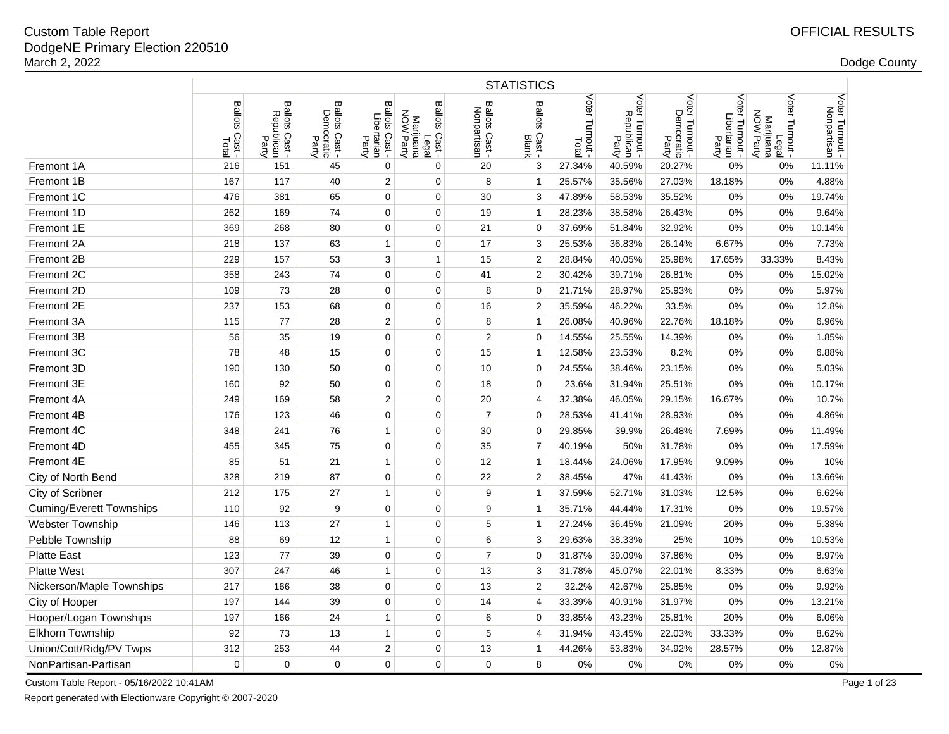|                                 | <b>STATISTICS</b>        |                                        |                                               |                                        |                                                                         |                                           |                                   |                             |                                         |                                        |                                          |                                                    |                              |
|---------------------------------|--------------------------|----------------------------------------|-----------------------------------------------|----------------------------------------|-------------------------------------------------------------------------|-------------------------------------------|-----------------------------------|-----------------------------|-----------------------------------------|----------------------------------------|------------------------------------------|----------------------------------------------------|------------------------------|
|                                 | Ballots<br>Cast<br>Total | Ballots<br>Republican<br>Cast<br>Party | <b>Ballots</b><br>Democratic<br>Cast<br>Party | Ballots Cast -<br>Libertarian<br>Party | <b>Ballots</b><br><b>MON</b><br>Marijuana<br>NOW Party<br>Cast<br>Legal | Ballots Cast<br>Nonpartisar<br>Cast-<br>∍ | <b>Ballots</b><br>Cast -<br>Blank | Voter<br>Turnout -<br>Total | Voter<br>Republican<br>Party<br>Turnout | Voter Turnout -<br>Democratic<br>Party | Voter<br>Libertarian<br>Party<br>Turnout | Voter Turnout -<br>Legal<br>Marijuana<br>NOW Party | Voter Turnout<br>Nonpartisan |
| Fremont 1A                      | 216                      | 151                                    | 45                                            | 0                                      | 0                                                                       | 20                                        | 3                                 | 27.34%                      | 40.59%                                  | 20.27%                                 | 0%                                       | 0%                                                 | 11.11%                       |
| Fremont 1B                      | 167                      | 117                                    | 40                                            | $\overline{2}$                         | $\mathbf 0$                                                             | 8                                         | $\overline{1}$                    | 25.57%                      | 35.56%                                  | 27.03%                                 | 18.18%                                   | 0%                                                 | 4.88%                        |
| Fremont 1C                      | 476                      | 381                                    | 65                                            | $\mathbf 0$                            | $\Omega$                                                                | 30                                        | 3                                 | 47.89%                      | 58.53%                                  | 35.52%                                 | 0%                                       | 0%                                                 | 19.74%                       |
| Fremont 1D                      | 262                      | 169                                    | 74                                            | 0                                      | $\mathbf 0$                                                             | 19                                        | 1                                 | 28.23%                      | 38.58%                                  | 26.43%                                 | 0%                                       | 0%                                                 | 9.64%                        |
| Fremont 1E                      | 369                      | 268                                    | 80                                            | $\mathbf 0$                            | $\mathbf 0$                                                             | 21                                        | $\overline{0}$                    | 37.69%                      | 51.84%                                  | 32.92%                                 | 0%                                       | 0%                                                 | 10.14%                       |
| Fremont 2A                      | 218                      | 137                                    | 63                                            | $\mathbf{1}$                           | 0                                                                       | 17                                        | 3                                 | 25.53%                      | 36.83%                                  | 26.14%                                 | 6.67%                                    | 0%                                                 | 7.73%                        |
| Fremont 2B                      | 229                      | 157                                    | 53                                            | 3                                      | $\mathbf{1}$                                                            | 15                                        | $\overline{2}$                    | 28.84%                      | 40.05%                                  | 25.98%                                 | 17.65%                                   | 33.33%                                             | 8.43%                        |
| Fremont 2C                      | 358                      | 243                                    | 74                                            | $\mathbf 0$                            | $\Omega$                                                                | 41                                        | $\overline{2}$                    | 30.42%                      | 39.71%                                  | 26.81%                                 | 0%                                       | 0%                                                 | 15.02%                       |
| Fremont 2D                      | 109                      | 73                                     | 28                                            | 0                                      | $\mathbf 0$                                                             | 8                                         | $\Omega$                          | 21.71%                      | 28.97%                                  | 25.93%                                 | 0%                                       | 0%                                                 | 5.97%                        |
| Fremont 2E                      | 237                      | 153                                    | 68                                            | 0                                      | $\mathbf 0$                                                             | 16                                        | 2                                 | 35.59%                      | 46.22%                                  | 33.5%                                  | 0%                                       | 0%                                                 | 12.8%                        |
| Fremont 3A                      | 115                      | 77                                     | 28                                            | $\boldsymbol{2}$                       | $\mathbf 0$                                                             | 8                                         | 1                                 | 26.08%                      | 40.96%                                  | 22.76%                                 | 18.18%                                   | 0%                                                 | 6.96%                        |
| Fremont 3B                      | 56                       | 35                                     | 19                                            | $\mathbf 0$                            | $\mathbf 0$                                                             | $\overline{2}$                            | $\Omega$                          | 14.55%                      | 25.55%                                  | 14.39%                                 | 0%                                       | 0%                                                 | 1.85%                        |
| Fremont 3C                      | 78                       | 48                                     | 15                                            | 0                                      | $\Omega$                                                                | 15                                        | 1                                 | 12.58%                      | 23.53%                                  | 8.2%                                   | 0%                                       | 0%                                                 | 6.88%                        |
| Fremont 3D                      | 190                      | 130                                    | 50                                            | $\mathbf 0$                            | $\mathbf 0$                                                             | 10                                        | $\Omega$                          | 24.55%                      | 38.46%                                  | 23.15%                                 | 0%                                       | 0%                                                 | 5.03%                        |
| Fremont 3E                      | 160                      | 92                                     | 50                                            | $\mathbf 0$                            | $\mathbf 0$                                                             | 18                                        | $\Omega$                          | 23.6%                       | 31.94%                                  | 25.51%                                 | 0%                                       | 0%                                                 | 10.17%                       |
| Fremont 4A                      | 249                      | 169                                    | 58                                            | $\overline{2}$                         | $\mathbf 0$                                                             | 20                                        | $\overline{4}$                    | 32.38%                      | 46.05%                                  | 29.15%                                 | 16.67%                                   | 0%                                                 | 10.7%                        |
| Fremont 4B                      | 176                      | 123                                    | 46                                            | $\mathbf 0$                            | $\mathbf 0$                                                             | $\overline{7}$                            | $\mathbf{0}$                      | 28.53%                      | 41.41%                                  | 28.93%                                 | 0%                                       | 0%                                                 | 4.86%                        |
| Fremont 4C                      | 348                      | 241                                    | 76                                            | $\mathbf{1}$                           | $\Omega$                                                                | 30                                        | $\Omega$                          | 29.85%                      | 39.9%                                   | 26.48%                                 | 7.69%                                    | 0%                                                 | 11.49%                       |
| Fremont 4D                      | 455                      | 345                                    | 75                                            | $\mathbf 0$                            | $\mathbf 0$                                                             | 35                                        | $\overline{7}$                    | 40.19%                      | 50%                                     | 31.78%                                 | 0%                                       | 0%                                                 | 17.59%                       |
| Fremont 4E                      | 85                       | 51                                     | 21                                            | $\mathbf{1}$                           | $\mathbf 0$                                                             | 12                                        | $\mathbf{1}$                      | 18.44%                      | 24.06%                                  | 17.95%                                 | 9.09%                                    | 0%                                                 | 10%                          |
| City of North Bend              | 328                      | 219                                    | 87                                            | $\mathbf 0$                            | $\mathbf 0$                                                             | 22                                        | $\overline{2}$                    | 38.45%                      | 47%                                     | 41.43%                                 | 0%                                       | 0%                                                 | 13.66%                       |
| City of Scribner                | 212                      | 175                                    | 27                                            | 1                                      | $\mathbf 0$                                                             | 9                                         | 1                                 | 37.59%                      | 52.71%                                  | 31.03%                                 | 12.5%                                    | 0%                                                 | 6.62%                        |
| <b>Cuming/Everett Townships</b> | 110                      | 92                                     | 9                                             | 0                                      | $\Omega$                                                                | 9                                         | $\overline{1}$                    | 35.71%                      | 44.44%                                  | 17.31%                                 | 0%                                       | 0%                                                 | 19.57%                       |
| <b>Webster Township</b>         | 146                      | 113                                    | 27                                            | $\mathbf{1}$                           | $\mathbf 0$                                                             | 5                                         | 1                                 | 27.24%                      | 36.45%                                  | 21.09%                                 | 20%                                      | 0%                                                 | 5.38%                        |
| Pebble Township                 | 88                       | 69                                     | 12                                            | $\mathbf{1}$                           | $\mathbf 0$                                                             | 6                                         | 3                                 | 29.63%                      | 38.33%                                  | 25%                                    | 10%                                      | 0%                                                 | 10.53%                       |
| <b>Platte East</b>              | 123                      | 77                                     | 39                                            | $\mathbf 0$                            | $\mathbf 0$                                                             | $\overline{7}$                            | $\mathbf 0$                       | 31.87%                      | 39.09%                                  | 37.86%                                 | 0%                                       | 0%                                                 | 8.97%                        |
| <b>Platte West</b>              | 307                      | 247                                    | 46                                            | $\mathbf{1}$                           | $\mathbf 0$                                                             | 13                                        | 3                                 | 31.78%                      | 45.07%                                  | 22.01%                                 | 8.33%                                    | 0%                                                 | 6.63%                        |
| Nickerson/Maple Townships       | 217                      | 166                                    | 38                                            | 0                                      | $\mathbf 0$                                                             | 13                                        | $\overline{2}$                    | 32.2%                       | 42.67%                                  | 25.85%                                 | 0%                                       | 0%                                                 | 9.92%                        |
| City of Hooper                  | 197                      | 144                                    | 39                                            | $\mathbf 0$                            | $\mathbf 0$                                                             | 14                                        | 4                                 | 33.39%                      | 40.91%                                  | 31.97%                                 | 0%                                       | 0%                                                 | 13.21%                       |
| Hooper/Logan Townships          | 197                      | 166                                    | 24                                            | $\mathbf{1}$                           | $\Omega$                                                                | 6                                         | 0                                 | 33.85%                      | 43.23%                                  | 25.81%                                 | 20%                                      | 0%                                                 | 6.06%                        |
| Elkhorn Township                | 92                       | 73                                     | 13                                            | $\mathbf{1}$                           | $\mathbf 0$                                                             | 5                                         | 4                                 | 31.94%                      | 43.45%                                  | 22.03%                                 | 33.33%                                   | 0%                                                 | 8.62%                        |
| Union/Cott/Ridg/PV Twps         | 312                      | 253                                    | 44                                            | $\overline{2}$                         | $\Omega$                                                                | 13                                        | 1                                 | 44.26%                      | 53.83%                                  | 34.92%                                 | 28.57%                                   | 0%                                                 | 12.87%                       |
| NonPartisan-Partisan            | $\mathbf 0$              | $\mathbf 0$                            | $\Omega$                                      | $\mathbf 0$                            | $\Omega$                                                                | $\mathbf 0$                               | 8                                 | 0%                          | 0%                                      | 0%                                     | 0%                                       | 0%                                                 | 0%                           |

Custom Table Report - 05/16/2022 10:41AM

Report generated with Electionware Copyright © 2007-2020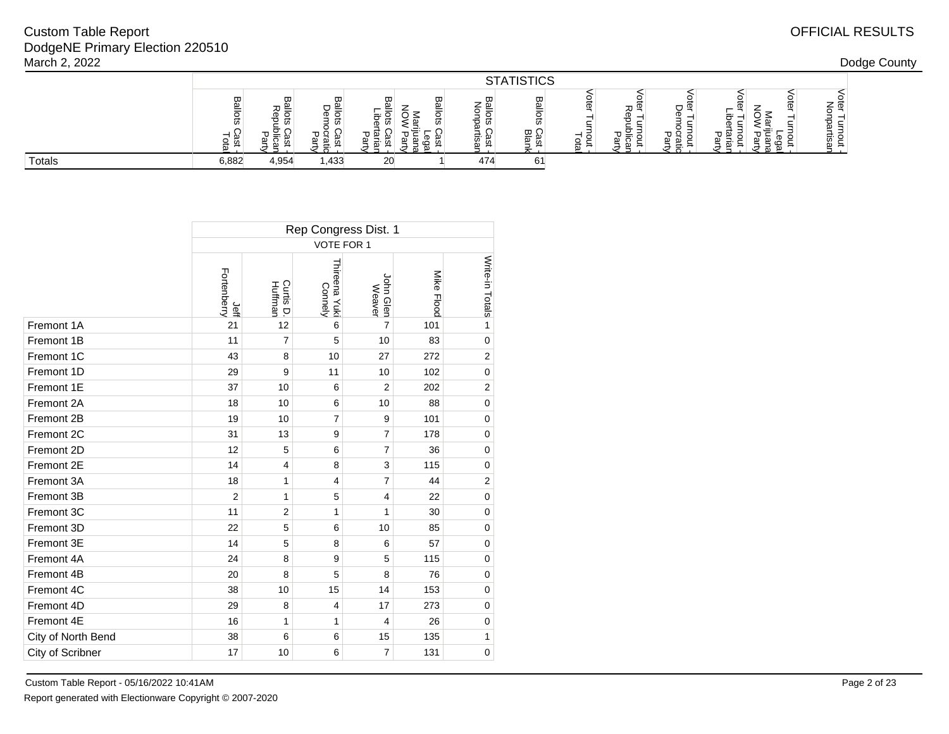|        |        | <b>STATISTICS</b> |                               |    |        |              |                                     |    |   |   |  |  |              |  |
|--------|--------|-------------------|-------------------------------|----|--------|--------------|-------------------------------------|----|---|---|--|--|--------------|--|
|        | ᡂ<br>≗ | ᡂ<br>ີ<br>ັ       | ᢍ<br>$\overline{\phantom{a}}$ | ш  | ᡂ<br>ø | ᡂ<br>-<br>-- | π<br>$\varpi$ ( $\cdot$<br>≕ ∾<br>ω | ςD | ᆺ | – |  |  | -<br>w<br>U. |  |
| Totals | 6,882  | 4,954             | 1,433                         | 20 |        | 474          | 61                                  |    |   |   |  |  |              |  |

|                    | Rep Congress Dist. 1 |                      |                          |                         |            |                 |  |  |  |  |  |  |
|--------------------|----------------------|----------------------|--------------------------|-------------------------|------------|-----------------|--|--|--|--|--|--|
|                    |                      |                      | VOTE FOR 1               |                         |            |                 |  |  |  |  |  |  |
|                    | Fortenberry<br>Jeff  | Curtis D.<br>Huffman | Thireena Yuki<br>Connely | John Glen<br>Weaver     | Mike Flood | Write-in Totals |  |  |  |  |  |  |
| Fremont 1A         | 21                   | 12                   | 6                        | $\overline{7}$          | 101        | 1               |  |  |  |  |  |  |
| Fremont 1B         | 11                   | $\overline{7}$       | 5                        | 10                      | 83         | $\mathbf 0$     |  |  |  |  |  |  |
| Fremont 1C         | 43                   | 8                    | 10                       | 27                      | 272        | $\overline{2}$  |  |  |  |  |  |  |
| Fremont 1D         | 29                   | 9                    | 11                       | 10                      | 102        | $\mathbf 0$     |  |  |  |  |  |  |
| Fremont 1E         | 37                   | 10                   | 6                        | $\overline{2}$          | 202        | 2               |  |  |  |  |  |  |
| Fremont 2A         | 18                   | 10                   | 6                        | 10                      | 88         | $\mathbf 0$     |  |  |  |  |  |  |
| Fremont 2B         | 19                   | 10                   | $\overline{7}$           | 9                       | 101        | $\mathbf 0$     |  |  |  |  |  |  |
| Fremont 2C         | 31                   | 13                   | 9                        | $\overline{7}$          | 178        | $\mathbf 0$     |  |  |  |  |  |  |
| Fremont 2D         | 12                   | 5                    | 6                        | 7                       | 36         | $\mathbf 0$     |  |  |  |  |  |  |
| Fremont 2E         | 14                   | $\overline{4}$       | 8                        | 3                       | 115        | $\mathbf 0$     |  |  |  |  |  |  |
| Fremont 3A         | 18                   | 1                    | $\overline{4}$           | $\overline{7}$          | 44         | $\overline{2}$  |  |  |  |  |  |  |
| Fremont 3B         | $\overline{2}$       | 1                    | 5                        | $\overline{\mathbf{4}}$ | 22         | $\mathbf 0$     |  |  |  |  |  |  |
| Fremont 3C         | 11                   | $\overline{2}$       | $\mathbf{1}$             | 1                       | 30         | $\mathbf 0$     |  |  |  |  |  |  |
| Fremont 3D         | 22                   | 5                    | 6                        | 10                      | 85         | $\mathbf 0$     |  |  |  |  |  |  |
| Fremont 3E         | 14                   | 5                    | 8                        | 6                       | 57         | $\mathbf 0$     |  |  |  |  |  |  |
| Fremont 4A         | 24                   | 8                    | 9                        | 5                       | 115        | $\mathbf 0$     |  |  |  |  |  |  |
| Fremont 4B         | 20                   | 8                    | 5                        | 8                       | 76         | $\mathbf 0$     |  |  |  |  |  |  |
| Fremont 4C         | 38                   | 10                   | 15                       | 14                      | 153        | $\mathbf 0$     |  |  |  |  |  |  |
| Fremont 4D         | 29                   | 8                    | $\overline{4}$           | 17                      | 273        | $\mathbf 0$     |  |  |  |  |  |  |
| Fremont 4E         | 16                   | 1                    | 1                        | 4                       | 26         | $\mathbf 0$     |  |  |  |  |  |  |
| City of North Bend | 38                   | 6                    | 6                        | 15                      | 135        | 1               |  |  |  |  |  |  |
| City of Scribner   | 17                   | 10                   | 6                        | $\overline{7}$          | 131        | $\mathbf 0$     |  |  |  |  |  |  |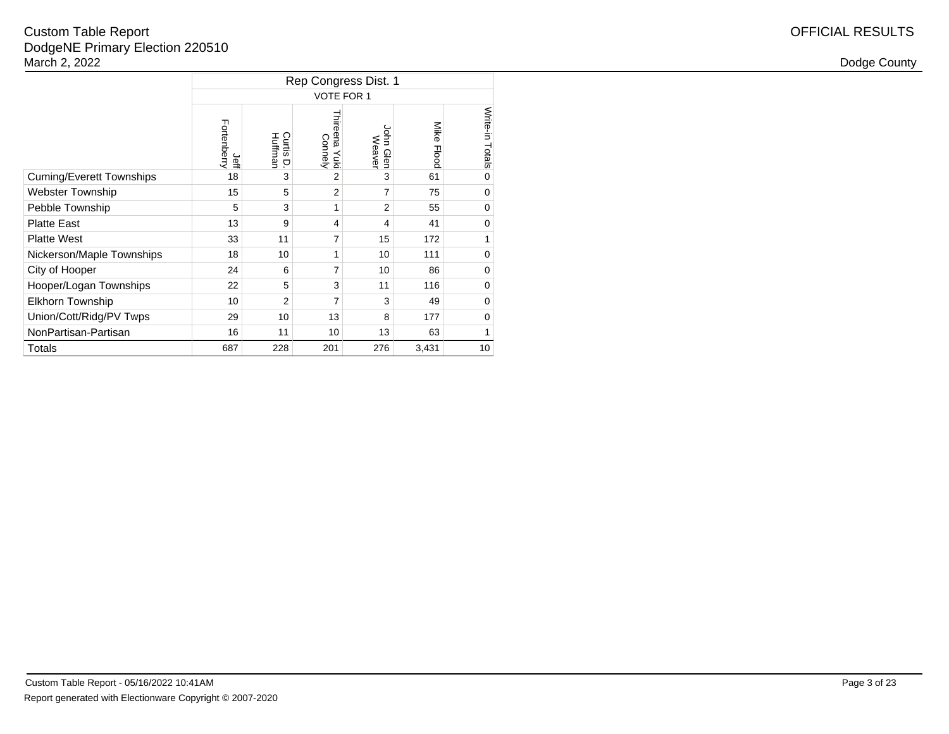|                                 |                     |                        | Rep Congress Dist. 1        |                         |                      |                 |
|---------------------------------|---------------------|------------------------|-----------------------------|-------------------------|----------------------|-----------------|
|                                 |                     |                        | <b>VOTE FOR 1</b>           |                         |                      |                 |
|                                 | Fortenberry<br>Jeff | Curtis<br>Huffman<br>p | Thireena<br>Connely<br>Йuкi | John<br>Weaver<br>Glen  | Mike<br><b>Flood</b> | Write-in Totals |
| <b>Cuming/Everett Townships</b> | 18                  | 3                      | 2                           | 3                       | 61                   | $\mathbf 0$     |
| <b>Webster Township</b>         | 15                  | 5                      | $\overline{2}$              | 7                       | 75                   | $\mathbf 0$     |
| Pebble Township                 | 5                   | 3                      | 1                           | 2                       | 55                   | $\mathbf 0$     |
| <b>Platte East</b>              | 13                  | 9                      | 4                           | $\overline{\mathbf{4}}$ | 41                   | 0               |
| <b>Platte West</b>              | 33                  | 11                     | 7                           | 15                      | 172                  | 1               |
| Nickerson/Maple Townships       | 18                  | 10                     | 1                           | 10                      | 111                  | $\mathbf 0$     |
| City of Hooper                  | 24                  | 6                      | 7                           | 10                      | 86                   | $\mathbf 0$     |
| Hooper/Logan Townships          | 22                  | 5                      | 3                           | 11                      | 116                  | $\mathbf 0$     |
| <b>Elkhorn Township</b>         | 10                  | $\overline{2}$         | 7                           | 3                       | 49                   | $\mathbf 0$     |
| Union/Cott/Ridg/PV Twps         | 29                  | 10                     | 13                          | 8                       | 177                  | $\mathbf 0$     |
| NonPartisan-Partisan            | 16                  | 11                     | 10                          | 13                      | 63                   | 1               |
| Totals                          | 687                 | 228                    | 201                         | 276                     | 3,431                | 10              |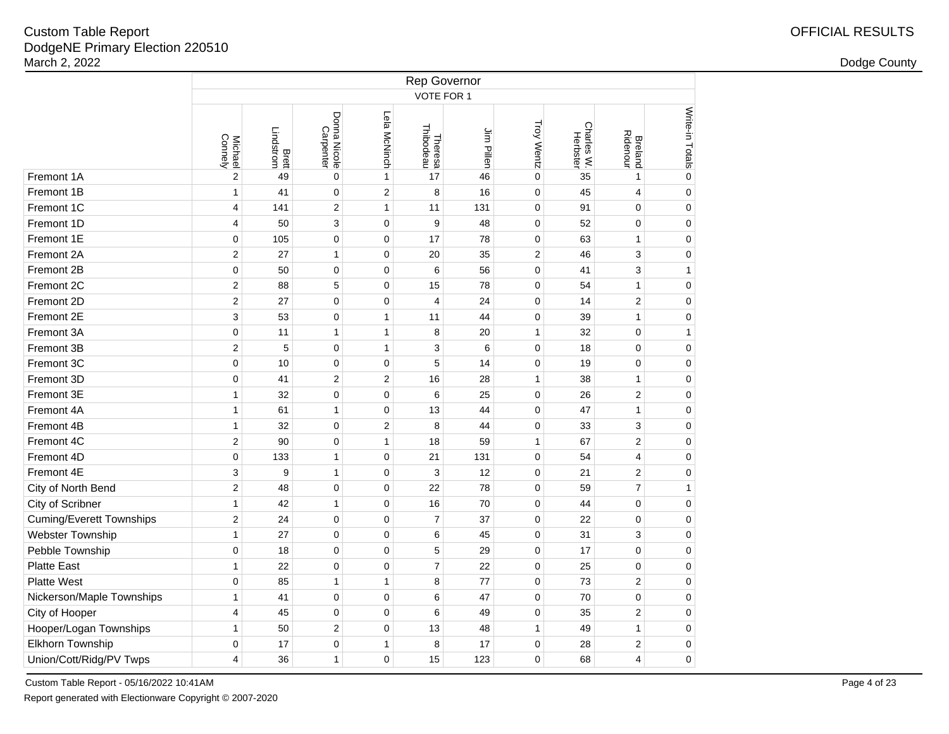|                                 |                           |                           |                           |                |                      | Rep Governor |                   |                        |                            |                 |
|---------------------------------|---------------------------|---------------------------|---------------------------|----------------|----------------------|--------------|-------------------|------------------------|----------------------------|-----------------|
|                                 |                           |                           |                           |                | VOTE FOR 1           |              |                   |                        |                            |                 |
|                                 | Connely<br><b>Michael</b> | <b>Brett</b><br>Lindstrom | Donna Nicole<br>Carpenter | Lela McNinch   | Theresa<br>Thibodeau | Jim Pillen   | <b>Troy Wentz</b> | Charles W.<br>Herbster | <b>Breland</b><br>Ridenour | Write-in Totals |
| Fremont 1A                      | $\boldsymbol{2}$          | 49                        | $\mathbf 0$               | $\mathbf{1}$   | 17                   | 46           | $\mathbf 0$       | 35                     | $\mathbf{1}$               | $\mathbf 0$     |
| Fremont 1B                      | $\mathbf{1}$              | 41                        | $\pmb{0}$                 | $\overline{c}$ | 8                    | 16           | $\mathbf 0$       | 45                     | 4                          | $\pmb{0}$       |
| Fremont 1C                      | $\overline{\mathbf{4}}$   | 141                       | $\overline{2}$            | $\mathbf{1}$   | 11                   | 131          | $\mathbf 0$       | 91                     | $\mathbf 0$                | $\pmb{0}$       |
| Fremont 1D                      | $\overline{4}$            | 50                        | 3                         | $\mathbf 0$    | 9                    | 48           | $\mathbf 0$       | 52                     | $\mathbf 0$                | $\overline{0}$  |
| Fremont 1E                      | $\mathbf 0$               | 105                       | $\pmb{0}$                 | $\mathbf 0$    | 17                   | 78           | $\mathbf 0$       | 63                     | $\mathbf{1}$               | $\mathbf 0$     |
| Fremont 2A                      | $\overline{c}$            | 27                        | $\mathbf{1}$              | $\mathbf 0$    | 20                   | 35           | $\overline{c}$    | 46                     | 3                          | $\pmb{0}$       |
| Fremont 2B                      | $\pmb{0}$                 | 50                        | $\pmb{0}$                 | $\pmb{0}$      | 6                    | 56           | $\mathbf 0$       | 41                     | 3                          | $\mathbf{1}$    |
| Fremont 2C                      | $\overline{2}$            | 88                        | 5                         | $\pmb{0}$      | 15                   | 78           | $\mathbf 0$       | 54                     | $\mathbf{1}$               | $\pmb{0}$       |
| Fremont 2D                      | $\overline{2}$            | 27                        | $\mathbf 0$               | $\mathbf 0$    | $\overline{4}$       | 24           | $\mathbf 0$       | 14                     | $\overline{2}$             | $\pmb{0}$       |
| Fremont 2E                      | 3                         | 53                        | $\pmb{0}$                 | $\mathbf{1}$   | 11                   | 44           | $\mathbf 0$       | 39                     | $\mathbf{1}$               | $\pmb{0}$       |
| Fremont 3A                      | 0                         | 11                        | 1                         | $\mathbf{1}$   | 8                    | 20           | $\mathbf{1}$      | 32                     | $\mathbf 0$                | $\mathbf{1}$    |
| Fremont 3B                      | $\overline{c}$            | 5                         | $\pmb{0}$                 | $\mathbf{1}$   | 3                    | 6            | $\mathbf 0$       | 18                     | $\mathbf 0$                | $\pmb{0}$       |
| Fremont 3C                      | 0                         | 10                        | $\mathbf 0$               | 0              | 5                    | 14           | $\mathbf 0$       | 19                     | $\mathbf 0$                | $\pmb{0}$       |
| Fremont 3D                      | $\mathbf 0$               | 41                        | $\overline{2}$            | $\overline{2}$ | 16                   | 28           | 1                 | 38                     | $\mathbf{1}$               | $\mathbf 0$     |
| Fremont 3E                      | $\mathbf{1}$              | 32                        | $\mathbf 0$               | $\pmb{0}$      | 6                    | 25           | $\mathbf 0$       | 26                     | $\boldsymbol{2}$           | $\mathbf 0$     |
| Fremont 4A                      | $\mathbf{1}$              | 61                        | $\mathbf{1}$              | $\mathbf 0$    | 13                   | 44           | $\mathbf 0$       | 47                     | $\mathbf{1}$               | $\mathbf 0$     |
| Fremont 4B                      | $\mathbf{1}$              | 32                        | $\pmb{0}$                 | $\overline{2}$ | 8                    | 44           | $\mathbf 0$       | 33                     | 3                          | $\mathbf 0$     |
| Fremont 4C                      | $\overline{2}$            | 90                        | $\mathbf 0$               | $\mathbf{1}$   | 18                   | 59           | $\mathbf{1}$      | 67                     | $\overline{2}$             | $\mathbf 0$     |
| Fremont 4D                      | $\pmb{0}$                 | 133                       | $\mathbf{1}$              | $\pmb{0}$      | 21                   | 131          | $\mathbf 0$       | 54                     | 4                          | $\mathbf 0$     |
| Fremont 4E                      | 3                         | 9                         | $\mathbf{1}$              | $\pmb{0}$      | 3                    | 12           | $\mathbf 0$       | 21                     | $\mathbf 2$                | $\mathbf 0$     |
| City of North Bend              | $\boldsymbol{2}$          | 48                        | $\pmb{0}$                 | $\pmb{0}$      | 22                   | 78           | $\mathbf 0$       | 59                     | $\overline{7}$             | $\mathbf{1}$    |
| City of Scribner                | 1                         | 42                        | $\mathbf{1}$              | $\mathbf 0$    | 16                   | 70           | $\mathbf 0$       | 44                     | $\mathbf 0$                | $\pmb{0}$       |
| <b>Cuming/Everett Townships</b> | $\overline{c}$            | 24                        | $\mathbf 0$               | $\mathbf 0$    | $\overline{7}$       | 37           | $\mathbf 0$       | 22                     | $\mathbf 0$                | $\mathbf 0$     |
| Webster Township                | $\mathbf{1}$              | 27                        | $\pmb{0}$                 | 0              | 6                    | 45           | $\mathbf 0$       | 31                     | 3                          | $\pmb{0}$       |
| Pebble Township                 | $\pmb{0}$                 | 18                        | $\pmb{0}$                 | 0              | 5                    | 29           | $\mathbf 0$       | 17                     | $\mathbf 0$                | $\mathbf 0$     |
| <b>Platte East</b>              | $\mathbf{1}$              | 22                        | $\pmb{0}$                 | $\mathbf 0$    | $\overline{7}$       | 22           | $\mathbf 0$       | 25                     | $\mathbf 0$                | $\mathsf 0$     |
| <b>Platte West</b>              | 0                         | 85                        | $\mathbf{1}$              | $\mathbf{1}$   | 8                    | 77           | $\mathbf 0$       | 73                     | $\overline{2}$             | 0               |
| Nickerson/Maple Townships       | $\mathbf{1}$              | 41                        | $\pmb{0}$                 | $\pmb{0}$      | 6                    | 47           | $\mathbf 0$       | 70                     | $\pmb{0}$                  | 0               |
| City of Hooper                  | 4                         | 45                        | $\mathbf 0$               | $\mathbf 0$    | 6                    | 49           | $\mathbf 0$       | 35                     | $\overline{2}$             | $\mathbf 0$     |
| Hooper/Logan Townships          | $\mathbf{1}$              | 50                        | $\overline{c}$            | $\mathbf 0$    | 13                   | 48           | 1                 | 49                     | $\mathbf{1}$               | $\mathbf 0$     |
| Elkhorn Township                | $\overline{0}$            | 17                        | $\mathbf 0$               | $\mathbf{1}$   | 8                    | 17           | $\mathbf 0$       | 28                     | $\overline{2}$             | 0               |
| Union/Cott/Ridg/PV Twps         | 4                         | 36                        | $\mathbf{1}$              | $\mathbf 0$    | 15                   | 123          | $\Omega$          | 68                     | $\overline{4}$             | 0               |

Custom Table Report - 05/16/2022 10:41AM

Report generated with Electionware Copyright © 2007-2020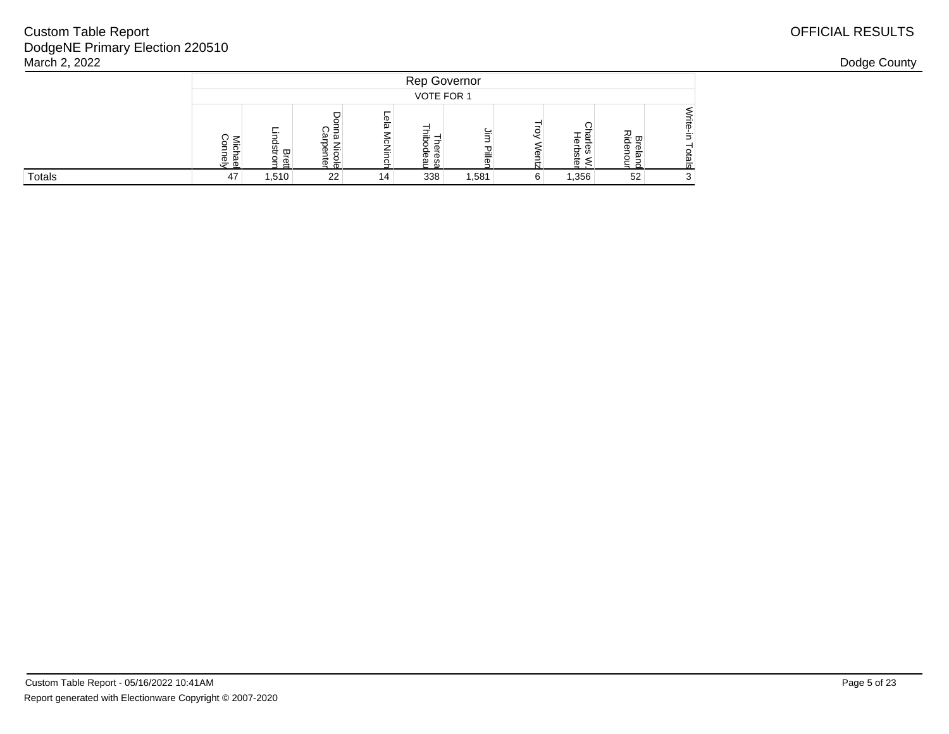| March 2, 2022 |     |       |     |          |     |       |   |       |    |  | Dodge County |
|---------------|-----|-------|-----|----------|-----|-------|---|-------|----|--|--------------|
|               |     |       |     |          |     |       |   |       |    |  |              |
|               |     |       |     |          |     |       |   |       |    |  |              |
|               | ີ≧ົ |       | ≌ ক | စ္မ<br>≂ | : ച |       |   | 亗     | 观  |  |              |
| Totals        | 47  | 1,510 | 22  | 14       | 338 | 1,581 | 6 | 1,356 | 52 |  |              |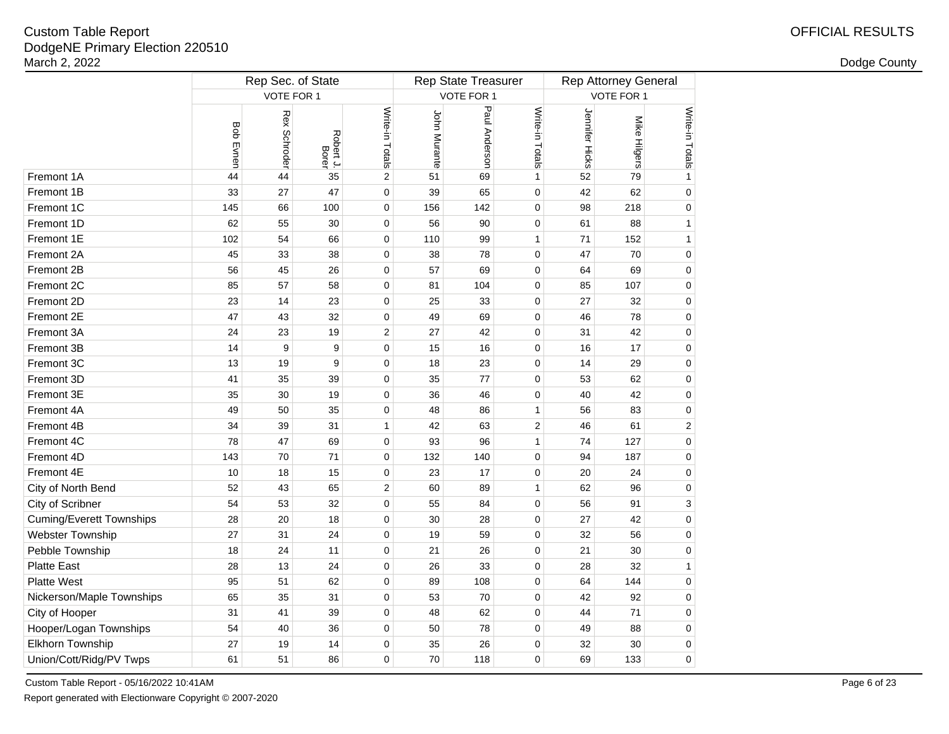| Dodge County |  |
|--------------|--|
|--------------|--|

|                                 |                  | Rep Sec. of State |                    |                 |              | Rep State Treasurer |                 |                | <b>Rep Attorney General</b> |                 |  |  |  |
|---------------------------------|------------------|-------------------|--------------------|-----------------|--------------|---------------------|-----------------|----------------|-----------------------------|-----------------|--|--|--|
|                                 |                  | VOTE FOR 1        |                    |                 |              | VOTE FOR 1          |                 |                | VOTE FOR 1                  |                 |  |  |  |
|                                 | <b>Bob Evnen</b> | Rex Schroder      | Robert J.<br>Borer | Write-in Totals | John Murante | Paul Anderson       | Write-in Totals | Jennifer Hicks | Mike Hilgers                | Write-in Totals |  |  |  |
| Fremont 1A                      | 44               | 44                | 35                 | 2               | 51           | 69                  | $\mathbf{1}$    | 52             | 79                          | $\mathbf{1}$    |  |  |  |
| Fremont 1B                      | 33               | 27                | 47                 | 0               | 39           | 65                  | $\pmb{0}$       | 42             | 62                          | 0               |  |  |  |
| Fremont 1C                      | 145              | 66                | 100                | 0               | 156          | 142                 | $\pmb{0}$       | 98             | 218                         | $\mathbf 0$     |  |  |  |
| Fremont 1D                      | 62               | 55                | 30                 | $\mathbf 0$     | 56           | 90                  | $\pmb{0}$       | 61             | 88                          | 1               |  |  |  |
| Fremont 1E                      | 102              | 54                | 66                 | 0               | 110          | 99                  | $\mathbf{1}$    | 71             | 152                         | 1               |  |  |  |
| Fremont 2A                      | 45               | 33                | 38                 | 0               | 38           | 78                  | $\pmb{0}$       | 47             | 70                          | 0               |  |  |  |
| Fremont 2B                      | 56               | 45                | 26                 | 0               | 57           | 69                  | $\pmb{0}$       | 64             | 69                          | $\mathbf 0$     |  |  |  |
| Fremont 2C                      | 85               | 57                | 58                 | $\mathbf 0$     | 81           | 104                 | $\pmb{0}$       | 85             | 107                         | 0               |  |  |  |
| Fremont 2D                      | 23               | 14                | 23                 | $\pmb{0}$       | 25           | 33                  | $\pmb{0}$       | 27             | 32                          | 0               |  |  |  |
| Fremont 2E                      | 47               | 43                | 32                 | $\pmb{0}$       | 49           | 69                  | $\pmb{0}$       | 46             | 78                          | $\mathbf 0$     |  |  |  |
| Fremont 3A                      | 24               | 23                | 19                 | $\overline{c}$  | 27           | 42                  | $\pmb{0}$       | 31             | 42                          | 0               |  |  |  |
| Fremont 3B                      | 14               | 9                 | 9                  | 0               | 15           | 16                  | 0               | 16             | 17                          | 0               |  |  |  |
| Fremont 3C                      | 13               | 19                | 9                  | 0               | 18           | 23                  | 0               | 14             | 29                          | 0               |  |  |  |
| Fremont 3D                      | 41               | 35                | 39                 | 0               | 35           | 77                  | $\pmb{0}$       | 53             | 62                          | 0               |  |  |  |
| Fremont 3E                      | 35               | 30                | 19                 | 0               | 36           | 46                  | 0               | 40             | 42                          | 0               |  |  |  |
| Fremont 4A                      | 49               | 50                | 35                 | 0               | 48           | 86                  | $\mathbf{1}$    | 56             | 83                          | 0               |  |  |  |
| Fremont 4B                      | 34               | 39                | 31                 | $\mathbf{1}$    | 42           | 63                  | $\overline{2}$  | 46             | 61                          | 2               |  |  |  |
| Fremont 4C                      | 78               | 47                | 69                 | 0               | 93           | 96                  | $\mathbf{1}$    | 74             | 127                         | 0               |  |  |  |
| Fremont 4D                      | 143              | 70                | 71                 | 0               | 132          | 140                 | 0               | 94             | 187                         | 0               |  |  |  |
| Fremont 4E                      | 10               | 18                | 15                 | 0               | 23           | 17                  | 0               | 20             | 24                          | 0               |  |  |  |
| City of North Bend              | 52               | 43                | 65                 | $\overline{2}$  | 60           | 89                  | $\mathbf{1}$    | 62             | 96                          | 0               |  |  |  |
| City of Scribner                | 54               | 53                | 32                 | 0               | 55           | 84                  | $\pmb{0}$       | 56             | 91                          | 3               |  |  |  |
| <b>Cuming/Everett Townships</b> | 28               | 20                | 18                 | 0               | 30           | 28                  | $\pmb{0}$       | 27             | 42                          | 0               |  |  |  |
| Webster Township                | 27               | 31                | 24                 | 0               | 19           | 59                  | $\pmb{0}$       | 32             | 56                          | 0               |  |  |  |
| Pebble Township                 | 18               | 24                | 11                 | 0               | 21           | 26                  | 0               | 21             | 30                          | 0               |  |  |  |
| <b>Platte East</b>              | 28               | 13                | 24                 | 0               | 26           | 33                  | 0               | 28             | 32                          | 1               |  |  |  |
| Platte West                     | 95               | 51                | 62                 | 0               | 89           | 108                 | 0               | 64             | 144                         | 0               |  |  |  |
| Nickerson/Maple Townships       | 65               | 35                | 31                 | 0               | 53           | 70                  | 0               | 42             | 92                          | 0               |  |  |  |
| City of Hooper                  | 31               | 41                | 39                 | 0               | 48           | 62                  | $\mathbf 0$     | 44             | 71                          | 0               |  |  |  |
| Hooper/Logan Townships          | 54               | 40                | 36                 | 0               | 50           | 78                  | $\pmb{0}$       | 49             | 88                          | 0               |  |  |  |
| Elkhorn Township                | 27               | 19                | 14                 | 0               | 35           | 26                  | $\pmb{0}$       | 32             | 30                          | 0               |  |  |  |
| Union/Cott/Ridg/PV Twps         | 61               | 51                | 86                 | 0               | 70           | 118                 | $\mathbf 0$     | 69             | 133                         | $\Omega$        |  |  |  |

Custom Table Report - 05/16/2022 10:41AM

Report generated with Electionware Copyright © 2007-2020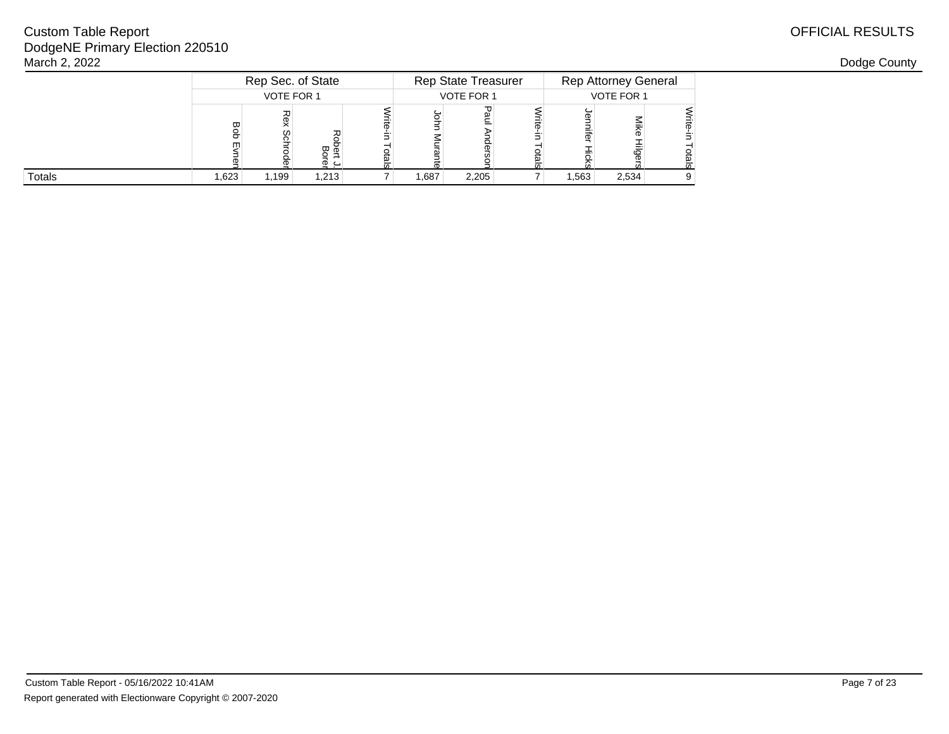| March 2, 2022 |       |                   |       |  |            |                     |  |            |                             |  | Dodge County |
|---------------|-------|-------------------|-------|--|------------|---------------------|--|------------|-----------------------------|--|--------------|
|               |       | Rep Sec. of State |       |  |            | Rep State Treasurer |  |            | <b>Rep Attorney General</b> |  |              |
|               |       | VOTE FOR 1        |       |  | VOTE FOR 1 |                     |  | VOTE FOR 1 |                             |  |              |
|               |       | w                 | დ გ   |  |            |                     |  |            |                             |  |              |
| Totals        | 1,623 | 199.ا             | 1,213 |  | 1,687      | 2,205               |  | 1,563      | 2,534                       |  |              |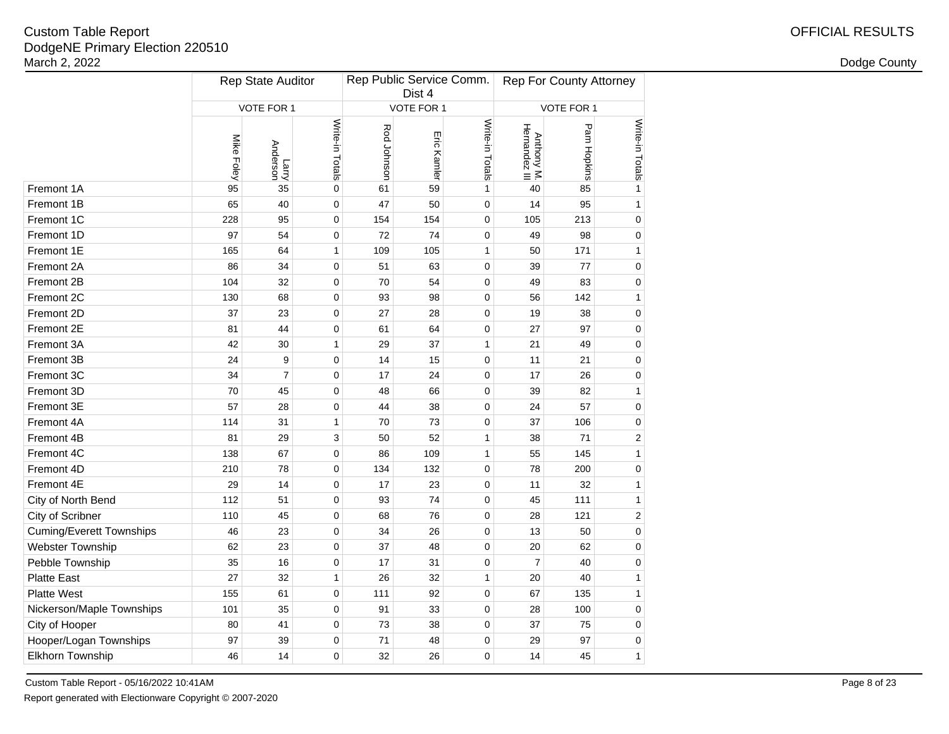|     |                  |                   |                                                    | Dist 4      |              |                                                           |                             |                                                             |  |  |
|-----|------------------|-------------------|----------------------------------------------------|-------------|--------------|-----------------------------------------------------------|-----------------------------|-------------------------------------------------------------|--|--|
|     |                  |                   |                                                    |             |              |                                                           |                             |                                                             |  |  |
|     |                  |                   |                                                    |             |              |                                                           |                             | Write-in Totals                                             |  |  |
| 95  | 35               | 0                 | 61                                                 | 59          | 1            | 40                                                        | 85                          | $\mathbf{1}$                                                |  |  |
| 65  | 40               | $\pmb{0}$         | 47                                                 | 50          | 0            | 14                                                        | 95                          | $\mathbf{1}$                                                |  |  |
| 228 | 95               | $\pmb{0}$         | 154                                                | 154         | $\pmb{0}$    | 105                                                       | 213                         | $\pmb{0}$                                                   |  |  |
| 97  | 54               | $\pmb{0}$         | 72                                                 | 74          | $\pmb{0}$    | 49                                                        | 98                          | 0                                                           |  |  |
| 165 | 64               | 1                 | 109                                                | 105         | 1            | 50                                                        | 171                         | $\mathbf{1}$                                                |  |  |
| 86  | 34               | $\mathbf 0$       | 51                                                 | 63          | 0            | 39                                                        | 77                          | 0                                                           |  |  |
| 104 | 32               | $\pmb{0}$         | 70                                                 | 54          | 0            | 49                                                        | 83                          | $\pmb{0}$                                                   |  |  |
| 130 | 68               | $\pmb{0}$         | 93                                                 | 98          | 0            | 56                                                        | 142                         | $\mathbf{1}$                                                |  |  |
| 37  | 23               | 0                 | 27                                                 | 28          | 0            | 19                                                        | 38                          | 0                                                           |  |  |
| 81  | 44               | $\mathbf 0$       | 61                                                 | 64          | 0            | 27                                                        | 97                          | $\mathbf 0$                                                 |  |  |
| 42  | 30               | 1                 | 29                                                 | 37          | 1            | 21                                                        | 49                          | $\mathbf 0$                                                 |  |  |
| 24  | 9                | $\pmb{0}$         | 14                                                 | 15          | 0            | 11                                                        | 21                          | $\mathbf 0$                                                 |  |  |
| 34  | $\boldsymbol{7}$ | $\pmb{0}$         | 17                                                 | 24          | 0            | 17                                                        | 26                          | 0                                                           |  |  |
| 70  | 45               | $\pmb{0}$         | 48                                                 | 66          | 0            | 39                                                        | 82                          | $\mathbf{1}$                                                |  |  |
| 57  | 28               | $\pmb{0}$         | 44                                                 | 38          | $\pmb{0}$    | 24                                                        | 57                          | 0                                                           |  |  |
| 114 | 31               | $\mathbf{1}$      | 70                                                 | 73          | $\mathbf 0$  | 37                                                        | 106                         | $\mathbf 0$                                                 |  |  |
| 81  | 29               | 3                 | 50                                                 | 52          | $\mathbf{1}$ | 38                                                        | 71                          | $\overline{c}$                                              |  |  |
| 138 | 67               | $\pmb{0}$         | 86                                                 | 109         | $\mathbf{1}$ | 55                                                        | 145                         | $\mathbf{1}$                                                |  |  |
| 210 | 78               | 0                 | 134                                                | 132         | $\pmb{0}$    | 78                                                        | 200                         | $\mathbf 0$                                                 |  |  |
| 29  | 14               | 0                 | 17                                                 | 23          | $\pmb{0}$    | 11                                                        | 32                          | 1                                                           |  |  |
| 112 | 51               | 0                 | 93                                                 | 74          | 0            | 45                                                        | 111                         | $\mathbf{1}$                                                |  |  |
| 110 | 45               | 0                 | 68                                                 | 76          | 0            | 28                                                        | 121                         | $\overline{\mathbf{c}}$                                     |  |  |
| 46  | 23               | 0                 | 34                                                 | 26          | 0            | 13                                                        | 50                          | $\mathbf 0$                                                 |  |  |
| 62  | 23               | 0                 | 37                                                 | 48          | 0            | 20                                                        | 62                          | $\mathbf 0$                                                 |  |  |
| 35  | 16               | 0                 | 17                                                 | 31          | 0            | $\overline{7}$                                            | 40                          | $\mathbf 0$                                                 |  |  |
| 27  | 32               | 1                 | 26                                                 | 32          | 1            | 20                                                        | 40                          | 1                                                           |  |  |
| 155 | 61               | 0                 | 111                                                | 92          | 0            | 67                                                        | 135                         | $\mathbf{1}$                                                |  |  |
| 101 | 35               | 0                 | 91                                                 | 33          | 0            | 28                                                        | 100                         | 0                                                           |  |  |
| 80  | 41               | 0                 | 73                                                 | 38          | 0            | 37                                                        | 75                          | $\mathbf 0$                                                 |  |  |
| 97  | 39               | 0                 | 71                                                 | 48          | 0            | 29                                                        | 97                          | $\mathbf 0$                                                 |  |  |
| 46  | 14               | 0                 | 32                                                 | 26          | 0            | 14                                                        | 45                          | $\mathbf{1}$                                                |  |  |
|     | Mike Foley       | Larry<br>Anderson | Rep State Auditor<br>VOTE FOR 1<br>Write-in Totals | Rod Johnson | Eric Kamler  | Rep Public Service Comm.<br>VOTE FOR 1<br>Write-in Totals | Anthony M.<br>Hernandez III | <b>Rep For County Attorney</b><br>VOTE FOR 1<br>Pam Hopkins |  |  |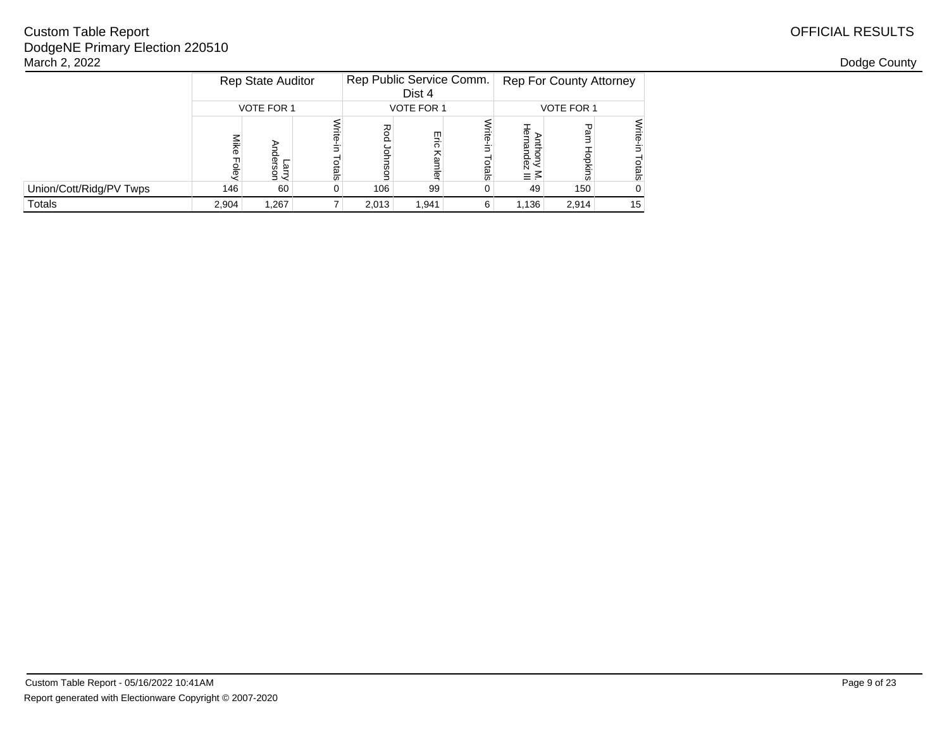|                         |                   | <b>Rep State Auditor</b> |       | Rep Public Service Comm. | Dist 4            |                   |                      | <b>Rep For County Attorney</b> |                    |  |  |  |
|-------------------------|-------------------|--------------------------|-------|--------------------------|-------------------|-------------------|----------------------|--------------------------------|--------------------|--|--|--|
|                         | <b>VOTE FOR 1</b> |                          |       |                          | <b>VOTE FOR 1</b> |                   |                      | <b>VOTE FOR 1</b>              | ᠊ᠣ                 |  |  |  |
|                         | Mike<br>ole,      | nder<br>arry<br>Sor      | otals | Rod<br>o<br>šor          | 믌<br>오<br>mler    | 큶<br><b>otals</b> | ₫<br>ഇ<br>dez<br>≡ ≤ | e⊽<br>Hopkins                  | Write-in<br>Totals |  |  |  |
| Union/Cott/Ridg/PV Twps | 146               | 60                       |       | 106                      | 99                |                   | 49                   | 150                            | 0                  |  |  |  |
| <b>Totals</b>           | 2.904             | 1,267                    |       | 2,013                    | 1,941             | 6                 | 1,136                | 2,914                          | 15                 |  |  |  |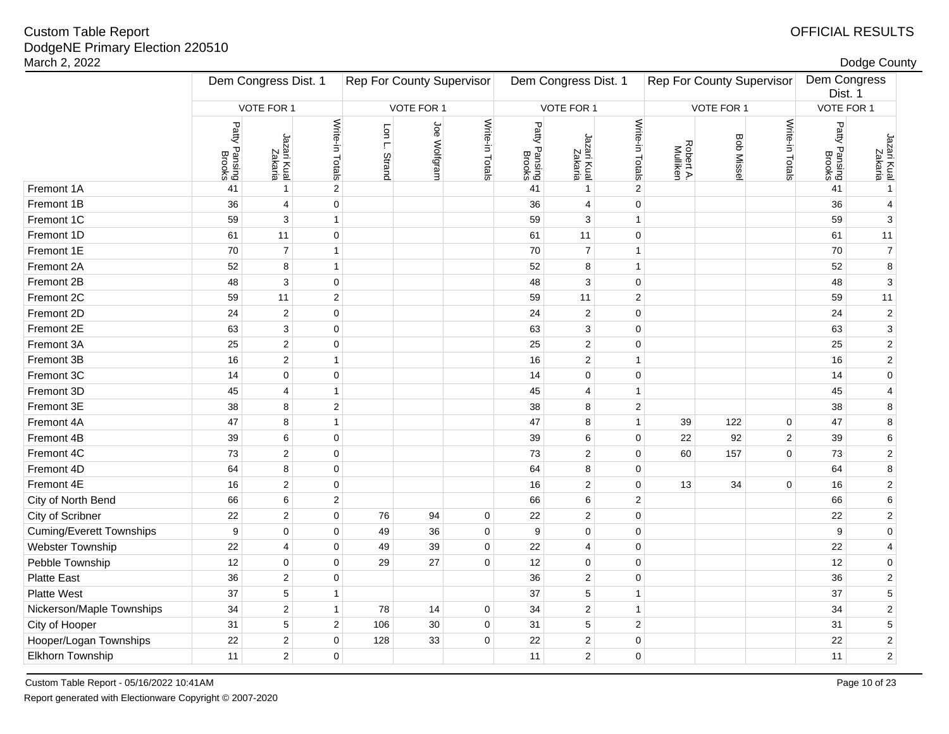# Custom Table Report

| DodgeNE Primary Election 220510<br>March 2, 2022 |                         |                        |                                  |                         |              |                      |                         |                         |                                  |                       |           |                         |                         | Dodge County            |
|--------------------------------------------------|-------------------------|------------------------|----------------------------------|-------------------------|--------------|----------------------|-------------------------|-------------------------|----------------------------------|-----------------------|-----------|-------------------------|-------------------------|-------------------------|
|                                                  | Dem Congress Dist. 1    |                        | <b>Rep For County Supervisor</b> |                         |              | Dem Congress Dist. 1 |                         |                         | <b>Rep For County Supervisor</b> |                       |           | Dem Congress<br>Dist. 1 |                         |                         |
|                                                  |                         | VOTE FOR 1             |                                  | VOTE FOR 1              |              |                      | VOTE FOR 1              |                         |                                  | VOTE FOR 1            |           |                         | VOTE FOR 1              |                         |
|                                                  | Patty Pansing<br>Brooks | Jazari Kual<br>Zakaria | Write-in Totals                  | Lon L.<br><b>Strand</b> | Joe Wolfgram | Write-in Totals      | Patty Pansing<br>Brooks | Jazari Kual<br>Zakaria  | Write-in Totals                  | Robert A.<br>Mulliken | Bob Misse | Write-in Totals         | Patty Pansing<br>Brooks | Jazari Kual<br>Zakaria  |
| Fremont 1A                                       | 41                      | $\mathbf{1}$           | $\overline{2}$                   |                         |              |                      | 41                      | $\mathbf{1}$            | $\overline{2}$                   |                       |           |                         | 41                      | $\mathbf{1}$            |
| Fremont 1B                                       | 36                      | $\overline{4}$         | $\mathbf 0$                      |                         |              |                      | 36                      | 4                       | $\mathbf 0$                      |                       |           |                         | 36                      | 4                       |
| Fremont 1C                                       | 59                      | 3                      | $\mathbf{1}$                     |                         |              |                      | 59                      | 3                       | $\mathbf{1}$                     |                       |           |                         | 59                      | 3                       |
| Fremont 1D                                       | 61                      | 11                     | $\pmb{0}$                        |                         |              |                      | 61                      | 11                      | $\mathbf 0$                      |                       |           |                         | 61                      | 11                      |
| Fremont 1E                                       | 70                      | $\overline{7}$         | $\mathbf{1}$                     |                         |              |                      | 70                      | $\overline{7}$          | $\mathbf{1}$                     |                       |           |                         | 70                      | $\boldsymbol{7}$        |
| Fremont 2A                                       | 52                      | 8                      | $\mathbf{1}$                     |                         |              |                      | 52                      | 8                       | $\mathbf{1}$                     |                       |           |                         | 52                      | $\bf8$                  |
| Fremont 2B                                       | 48                      | $\mathbf{3}$           | $\mathbf 0$                      |                         |              |                      | 48                      | $\mathbf{3}$            | $\mathsf 0$                      |                       |           |                         | 48                      | $\mathsf 3$             |
| Fremont 2C                                       | 59                      | 11                     | $\sqrt{2}$                       |                         |              |                      | 59                      | 11                      | $\sqrt{2}$                       |                       |           |                         | 59                      | 11                      |
| Fremont 2D                                       | 24                      | 2                      | $\mathbf 0$                      |                         |              |                      | 24                      | $\overline{c}$          | $\mathbf 0$                      |                       |           |                         | 24                      | $\sqrt{2}$              |
| Fremont 2E                                       | 63                      | $\mathbf{3}$           | $\pmb{0}$                        |                         |              |                      | 63                      | $\sqrt{3}$              | $\mathbf 0$                      |                       |           |                         | 63                      | 3                       |
| Fremont 3A                                       | 25                      | $\overline{2}$         | $\pmb{0}$                        |                         |              |                      | 25                      | $\mathbf 2$             | $\mathbf 0$                      |                       |           |                         | 25                      | $\sqrt{2}$              |
| Fremont 3B                                       | 16                      | $\sqrt{2}$             | $\mathbf{1}$                     |                         |              |                      | 16                      | $\sqrt{2}$              | $\mathbf{1}$                     |                       |           |                         | 16                      | $\sqrt{2}$              |
| Fremont 3C                                       | 14                      | $\mathbf 0$            | $\mathbf 0$                      |                         |              |                      | 14                      | $\mathbf 0$             | $\mathbf 0$                      |                       |           |                         | 14                      | $\pmb{0}$               |
| Fremont 3D                                       | 45                      | $\overline{4}$         | $\mathbf{1}$                     |                         |              |                      | 45                      | 4                       | $\mathbf{1}$                     |                       |           |                         | 45                      | 4                       |
| Fremont 3E                                       | 38                      | 8                      | $\mathbf 2$                      |                         |              |                      | 38                      | 8                       | $\sqrt{2}$                       |                       |           |                         | 38                      | 8                       |
| Fremont 4A                                       | 47                      | 8                      | $\mathbf{1}$                     |                         |              |                      | 47                      | 8                       | $\mathbf{1}$                     | 39                    | 122       | $\mathbf 0$             | 47                      | 8                       |
| Fremont 4B                                       | 39                      | 6                      | $\mathbf 0$                      |                         |              |                      | 39                      | 6                       | $\mathbf 0$                      | 22                    | 92        | $\overline{2}$          | 39                      | 6                       |
| Fremont 4C                                       | 73                      | $\overline{2}$         | $\mathbf 0$                      |                         |              |                      | 73                      | $\overline{\mathbf{c}}$ | $\mathbf 0$                      | 60                    | 157       | $\mathbf 0$             | 73                      | $\sqrt{2}$              |
| Fremont 4D                                       | 64                      | 8                      | $\mathbf 0$                      |                         |              |                      | 64                      | 8                       | $\mathbf 0$                      |                       |           |                         | 64                      | $\bf8$                  |
| Fremont 4E                                       | 16                      | $\overline{2}$         | $\pmb{0}$                        |                         |              |                      | 16                      | 2                       | $\mathbf 0$                      | 13                    | 34        | $\pmb{0}$               | 16                      | $\sqrt{2}$              |
| City of North Bend                               | 66                      | 6                      | $\overline{2}$                   |                         |              |                      | 66                      | 6                       | $\overline{2}$                   |                       |           |                         | 66                      | 6                       |
| City of Scribner                                 | 22                      | $\overline{2}$         | $\mathbf 0$                      | 76                      | 94           | $\mathbf 0$          | 22                      | 2                       | $\mathbf 0$                      |                       |           |                         | 22                      | $\sqrt{2}$              |
| <b>Cuming/Everett Townships</b>                  | 9                       | $\mathbf 0$            | $\mathbf 0$                      | 49                      | 36           | $\mathbf 0$          | 9                       | $\mathbf 0$             | $\mathbf 0$                      |                       |           |                         | 9                       | $\pmb{0}$               |
| Webster Township                                 | 22                      | $\overline{4}$         | $\pmb{0}$                        | 49                      | 39           | $\mathbf 0$          | 22                      | 4                       | $\mathbf 0$                      |                       |           |                         | 22                      | 4                       |
| Pebble Township                                  | 12                      | $\mathbf 0$            | $\mathbf 0$                      | 29                      | 27           | $\mathbf 0$          | 12                      | $\mathbf 0$             | $\mathbf 0$                      |                       |           |                         | 12                      | $\pmb{0}$               |
| <b>Platte East</b>                               | 36                      | $\overline{2}$         | $\mathbf 0$                      |                         |              |                      | 36                      | 2                       | $\mathbf 0$                      |                       |           |                         | 36                      | $\sqrt{2}$              |
| <b>Platte West</b>                               | 37                      | $\sqrt{5}$             | $\mathbf{1}$                     |                         |              |                      | 37                      | $\,$ 5 $\,$             | $\mathbf{1}$                     |                       |           |                         | 37                      | $\sqrt{5}$              |
| Nickerson/Maple Townships                        | 34                      | $\overline{c}$         | $\mathbf{1}$                     | 78                      | 14           | 0                    | 34                      | $\overline{c}$          | $\mathbf{1}$                     |                       |           |                         | 34                      | $\sqrt{2}$              |
| City of Hooper                                   | 31                      | 5                      | $\mathbf{2}$                     | 106                     | $30\,$       | 0                    | 31                      | $\,$ 5 $\,$             | $\overline{2}$                   |                       |           |                         | 31                      | $\mathbf 5$             |
| Hooper/Logan Townships                           | 22                      | $\sqrt{2}$             | $\pmb{0}$                        | 128                     | 33           | 0                    | 22                      | $\mathbf 2$             | 0                                |                       |           |                         | 22                      | $\boldsymbol{2}$        |
| Elkhorn Township                                 | 11                      | $\mathbf{2}$           | $\mathbf 0$                      |                         |              |                      | 11                      | $\overline{2}$          | $\mathsf 0$                      |                       |           |                         | 11                      | $\overline{\mathbf{c}}$ |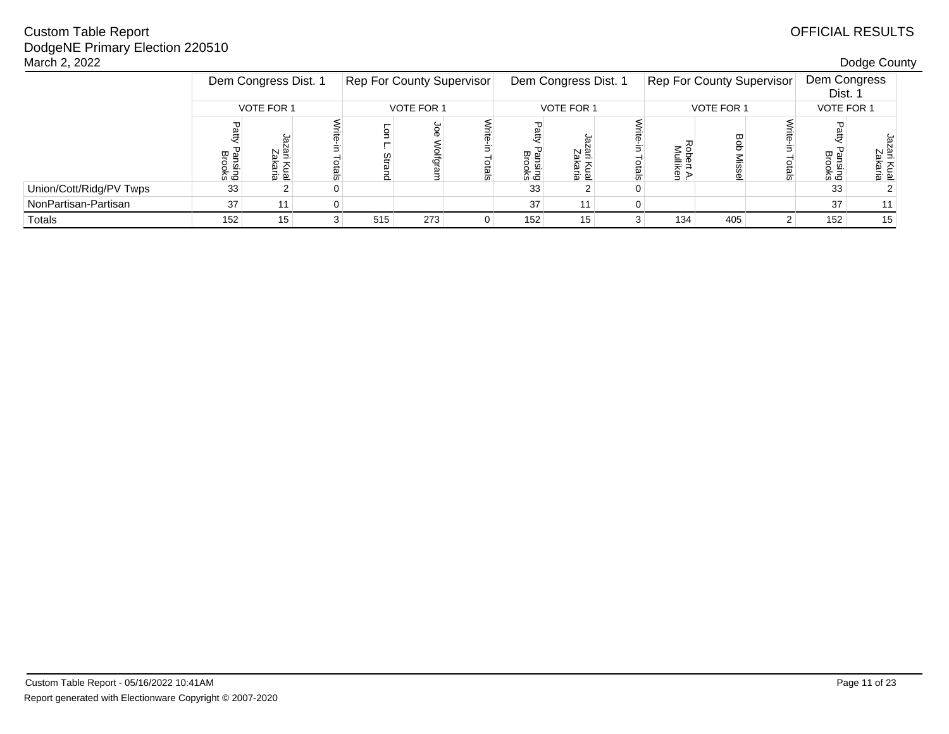| March 2, 2022           |                   |                      |  |                                  |     |               |                      |                       |   |                                  |     |       |                         | Dodge County               |  |
|-------------------------|-------------------|----------------------|--|----------------------------------|-----|---------------|----------------------|-----------------------|---|----------------------------------|-----|-------|-------------------------|----------------------------|--|
|                         |                   | Dem Congress Dist. 1 |  | <b>Rep For County Supervisor</b> |     |               | Dem Congress Dist. 1 |                       |   | <b>Rep For County Supervisor</b> |     |       | Dem Congress<br>Dist. 1 |                            |  |
|                         | <b>VOTE FOR 1</b> |                      |  | VOTE FOR 1                       |     |               | <b>VOTE FOR 1</b>    |                       |   | <b>VOTE FOR 1</b>                |     |       | VOTE FOR 1              |                            |  |
|                         | மே<br>sus<br>Duks | m                    |  | ē                                | ιo  | $\frac{1}{2}$ | Pansing<br>Brooks    | $\frac{5}{2}$<br>va ë |   | ة ≥<br>로 릊                       |     | otals | 쌀 및<br>sing<br>Daks     | zar<br>Zak<br>Kual<br>aria |  |
| Union/Cott/Ridg/PV Twps | 33                |                      |  |                                  |     |               | 33                   |                       |   |                                  |     |       | 33                      |                            |  |
| NonPartisan-Partisan    | 37                | 11                   |  |                                  |     |               | 37                   | 11                    | 0 |                                  |     |       | 37                      | 11                         |  |
| Totals                  | 152               | 15 <sub>1</sub>      |  | 515                              | 273 | $\Omega$      | 152                  | 15                    |   | 134                              | 405 |       | 152                     | 15                         |  |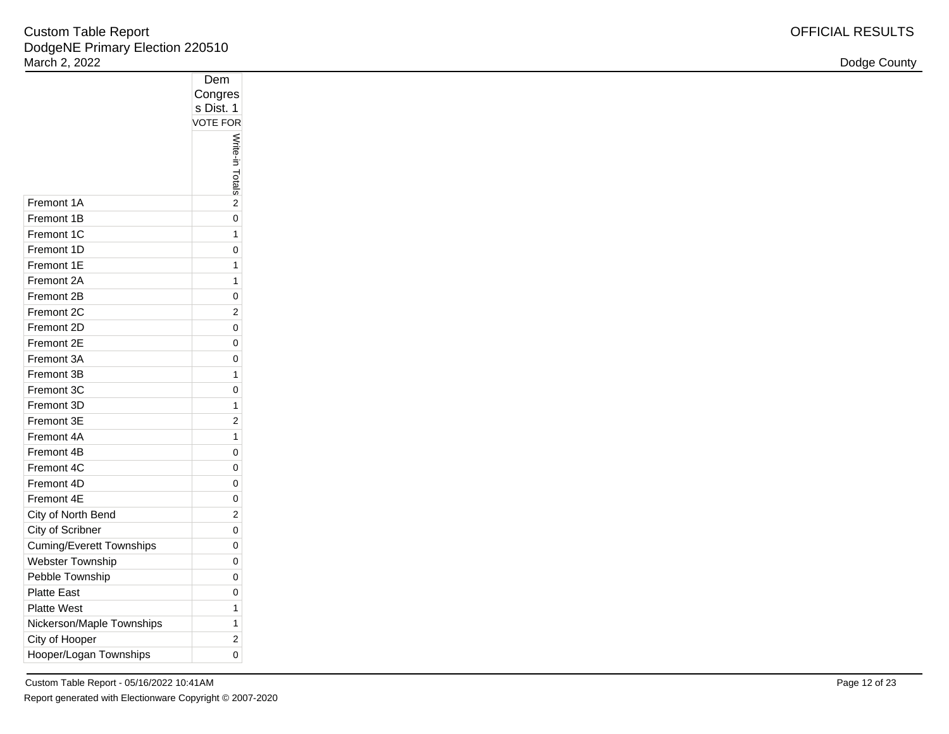| Dodge County |  |
|--------------|--|
|--------------|--|

|                                 | ◡◡᠁                          |
|---------------------------------|------------------------------|
|                                 | Congres                      |
|                                 | s Dist. 1<br><b>VOTE FOR</b> |
|                                 |                              |
|                                 |                              |
|                                 |                              |
|                                 | Write-in Totals              |
|                                 |                              |
| Fremont 1A                      | $\overline{2}$               |
| Fremont 1B                      | 0                            |
| Fremont 1C                      | 1                            |
| Fremont 1D                      | 0                            |
| Fremont 1E                      | 1                            |
| Fremont 2A                      | 1                            |
| Fremont 2B                      | 0                            |
| Fremont 2C                      | $\overline{2}$               |
| Fremont 2D                      | 0                            |
| Fremont 2E                      | 0                            |
| Fremont 3A                      | 0                            |
| Fremont 3B                      | 1                            |
| Fremont 3C                      | 0                            |
| Fremont 3D                      | 1                            |
| Fremont 3E                      | 2                            |
| Fremont 4A                      | 1                            |
| Fremont 4B                      | 0                            |
| Fremont 4C                      | 0                            |
| Fremont 4D                      | 0                            |
| Fremont 4E                      | 0                            |
| City of North Bend              | $\overline{2}$               |
| City of Scribner                | 0                            |
| <b>Cuming/Everett Townships</b> | 0                            |
| <b>Webster Township</b>         | 0                            |
| Pebble Township                 | 0                            |
| <b>Platte East</b>              | 0                            |
| <b>Platte West</b>              | 1                            |
| Nickerson/Maple Townships       | 1                            |
| City of Hooper                  | 2                            |
| Hooper/Logan Townships          | 0                            |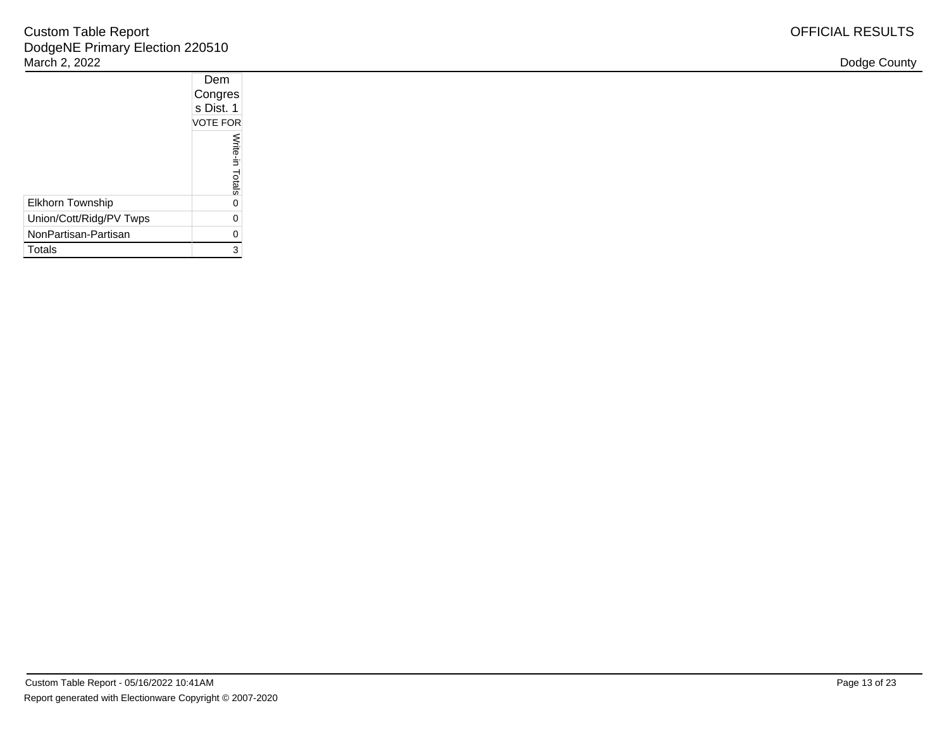|                         | Dem             |  |
|-------------------------|-----------------|--|
|                         | Congres         |  |
|                         | s Dist. 1       |  |
|                         | <b>VOTE FOR</b> |  |
|                         | Write-in Totals |  |
| Elkhorn Township        | 0               |  |
| Union/Cott/Ridg/PV Twps | 0               |  |
| NonPartisan-Partisan    | 0               |  |
| Totals                  | 3               |  |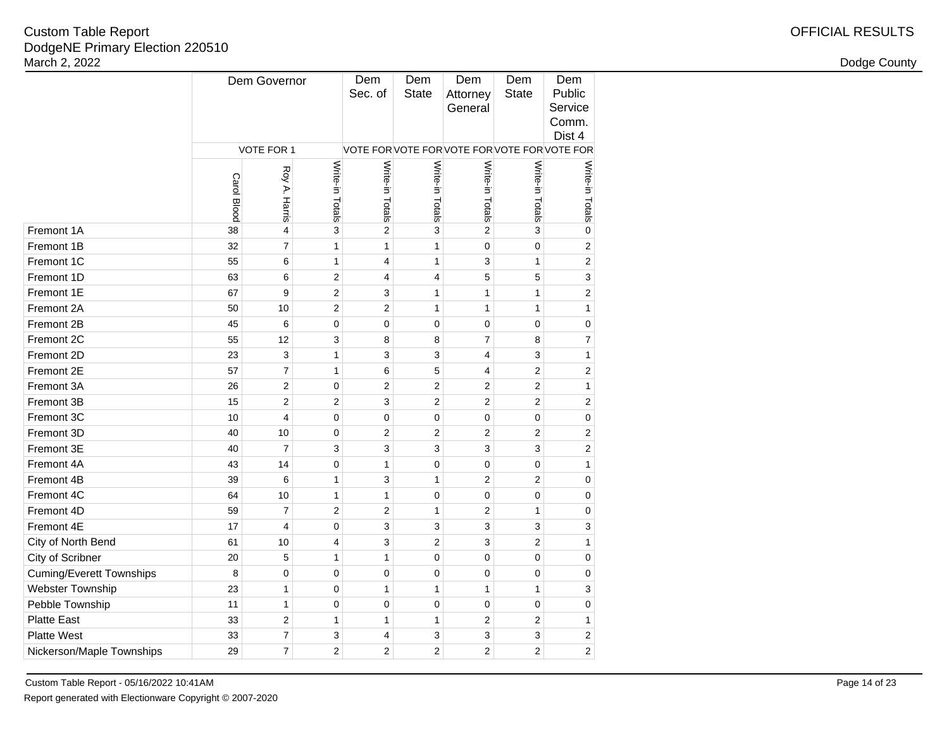| <b>OFFICIAL RESULTS</b> |
|-------------------------|
|-------------------------|

|                                 |                    | Dem Governor            |                         | Dem<br>Sec. of                           | Dem<br><b>State</b> | Dem<br>Attorney<br>General | Dem<br><b>State</b> | Dem<br>Public<br>Service<br>Comm.<br>Dist 4 |
|---------------------------------|--------------------|-------------------------|-------------------------|------------------------------------------|---------------------|----------------------------|---------------------|---------------------------------------------|
|                                 |                    | VOTE FOR 1              |                         | VOTE FORVOTE FORVOTE FORVOTE FORVOTE FOR |                     |                            |                     |                                             |
|                                 | <b>Carol Blood</b> | Roy A. Harris           | Write-in Totals         | Write-in Totals                          | Write-in Totals     | Write-in Totals            | Write-in Totals     | Write-in Totals                             |
| Fremont 1A                      | 38                 | 4                       | 3                       | $\overline{2}$                           | 3                   | $\overline{2}$             | 3                   | $\mathbf 0$                                 |
| Fremont 1B                      | 32                 | $\overline{7}$          | 1                       | $\mathbf{1}$                             | 1                   | 0                          | $\mathbf 0$         | $\overline{2}$                              |
| Fremont 1C                      | 55                 | 6                       | 1                       | 4                                        | 1                   | 3                          | 1                   | $\overline{c}$                              |
| Fremont 1D                      | 63                 | 6                       | $\overline{\mathbf{c}}$ | 4                                        | $\overline{4}$      | 5                          | 5                   | 3                                           |
| Fremont 1E                      | 67                 | 9                       | $\overline{c}$          | 3                                        | $\mathbf{1}$        | $\mathbf{1}$               | $\mathbf{1}$        | $\overline{2}$                              |
| Fremont 2A                      | 50                 | 10                      | $\overline{c}$          | $\overline{2}$                           | $\mathbf{1}$        | $\mathbf{1}$               | $\mathbf{1}$        | 1                                           |
| Fremont 2B                      | 45                 | 6                       | 0                       | 0                                        | $\pmb{0}$           | $\pmb{0}$                  | $\mathbf 0$         | 0                                           |
| Fremont 2C                      | 55                 | 12                      | 3                       | 8                                        | 8                   | $\overline{7}$             | 8                   | $\overline{7}$                              |
| Fremont 2D                      | 23                 | 3                       | 1                       | 3                                        | 3                   | 4                          | 3                   | $\mathbf{1}$                                |
| Fremont 2E                      | 57                 | $\overline{7}$          | 1                       | 6                                        | 5                   | 4                          | $\overline{2}$      | $\overline{2}$                              |
| Fremont 3A                      | 26                 | $\mathbf 2$             | 0                       | $\overline{2}$                           | $\overline{c}$      | $\sqrt{2}$                 | $\sqrt{2}$          | $\mathbf{1}$                                |
| Fremont 3B                      | 15                 | 2                       | $\overline{\mathbf{c}}$ | 3                                        | $\overline{2}$      | $\sqrt{2}$                 | 2                   | 2                                           |
| Fremont 3C                      | 10                 | 4                       | 0                       | 0                                        | 0                   | 0                          | $\mathbf 0$         | 0                                           |
| Fremont 3D                      | 40                 | 10                      | 0                       | $\overline{2}$                           | $\overline{2}$      | $\overline{2}$             | $\overline{2}$      | $\overline{2}$                              |
| Fremont 3E                      | 40                 | $\overline{7}$          | 3                       | 3                                        | 3                   | 3                          | 3                   | $\overline{2}$                              |
| Fremont 4A                      | 43                 | 14                      | 0                       | 1                                        | $\mathbf 0$         | $\mathbf 0$                | $\mathbf 0$         | 1                                           |
| Fremont 4B                      | 39                 | 6                       | 1                       | 3                                        | 1                   | $\overline{2}$             | $\overline{2}$      | 0                                           |
| Fremont 4C                      | 64                 | 10                      | 1                       | 1                                        | $\mathbf 0$         | $\mathbf 0$                | $\mathbf 0$         | 0                                           |
| Fremont 4D                      | 59                 | $\overline{7}$          | 2                       | $\overline{c}$                           | 1                   | $\overline{2}$             | 1                   | 0                                           |
| Fremont 4E                      | 17                 | 4                       | 0                       | 3                                        | 3                   | 3                          | 3                   | 3                                           |
| City of North Bend              | 61                 | 10                      | 4                       | 3                                        | $\overline{c}$      | 3                          | $\overline{2}$      | $\mathbf{1}$                                |
| City of Scribner                | 20                 | 5                       | 1                       | 1                                        | $\mathbf 0$         | $\mathbf 0$                | $\mathbf 0$         | 0                                           |
| <b>Cuming/Everett Townships</b> | 8                  | 0                       | 0                       | 0                                        | $\mathbf 0$         | $\mathbf 0$                | $\mathbf 0$         | 0                                           |
| Webster Township                | 23                 | $\mathbf{1}$            | 0                       | $\mathbf{1}$                             | $\mathbf{1}$        | 1                          | 1                   | 3                                           |
| Pebble Township                 | 11                 | $\mathbf{1}$            | 0                       | 0                                        | $\mathbf 0$         | $\mathbf 0$                | $\mathbf 0$         | 0                                           |
| <b>Platte East</b>              | 33                 | $\overline{\mathbf{c}}$ | 1                       | $\mathbf{1}$                             | $\mathbf{1}$        | $\sqrt{2}$                 | $\sqrt{2}$          | 1                                           |
| <b>Platte West</b>              | 33                 | $\overline{7}$          | 3                       | 4                                        | 3                   | 3                          | 3                   | 2                                           |
| Nickerson/Maple Townships       | 29                 | $\overline{7}$          | 2                       | $\overline{2}$                           | $\overline{2}$      | $\overline{2}$             | $\overline{2}$      | $\overline{2}$                              |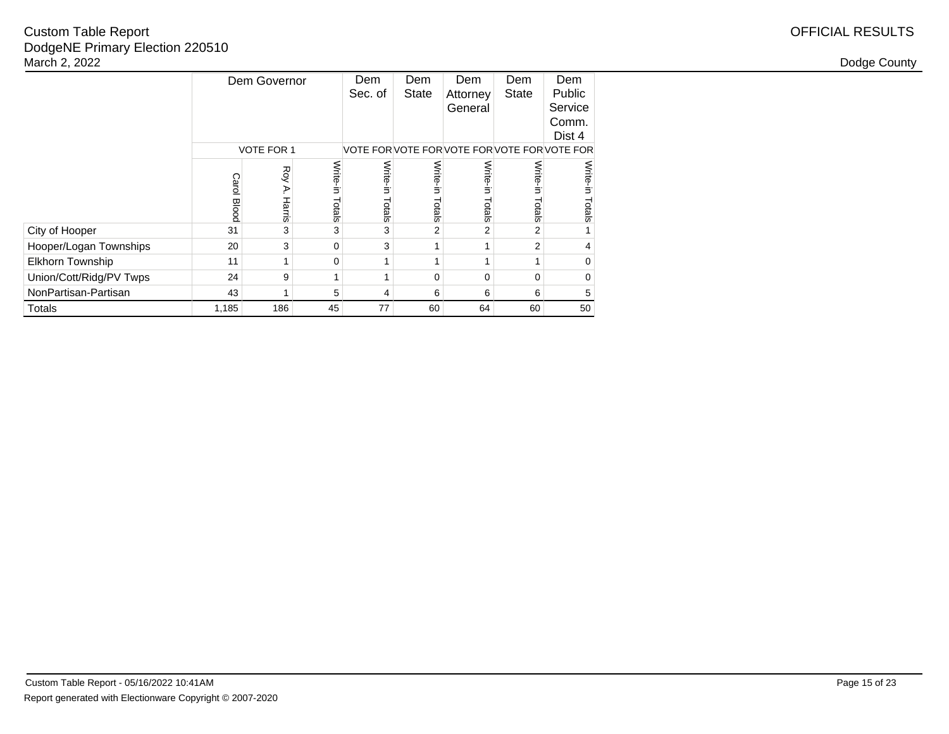|                         |                    | Dem Governor       |                    | Dem<br>Sec. of   | Dem<br><b>State</b> | Dem<br>Attorney<br>General               | Dem<br><b>State</b> | Dem<br>Public<br>Service<br>Comm.<br>Dist 4 |
|-------------------------|--------------------|--------------------|--------------------|------------------|---------------------|------------------------------------------|---------------------|---------------------------------------------|
|                         |                    | <b>VOTE FOR 1</b>  |                    |                  |                     | VOTE FORVOTE FORVOTE FORVOTE FORVOTE FOR |                     |                                             |
|                         | <b>Carol Blooc</b> | Roy<br>P<br>Harris | Write-in<br>Totals | Write-<br>Totals | Write-in<br>Totals  | Write-i<br>Totals                        | Write-<br>Totals    | Write-in<br>Totals                          |
| City of Hooper          | 31                 | 3                  | 3                  | 3                | $\overline{2}$      | 2                                        | 2                   |                                             |
| Hooper/Logan Townships  | 20                 | 3                  | 0                  | 3                | 1                   |                                          | 2                   | 4                                           |
| <b>Elkhorn Township</b> | 11                 | 1                  | $\Omega$           |                  |                     |                                          |                     | 0                                           |
| Union/Cott/Ridg/PV Twps | 24                 | 9                  |                    |                  | 0                   | $\Omega$                                 | $\Omega$            | 0                                           |
| NonPartisan-Partisan    | 43                 | 1                  | 5                  | 4                | 6                   | 6                                        | 6                   | 5                                           |
| Totals                  | 1,185              | 186                | 45                 | 77               | 60                  | 64                                       | 60                  | 50                                          |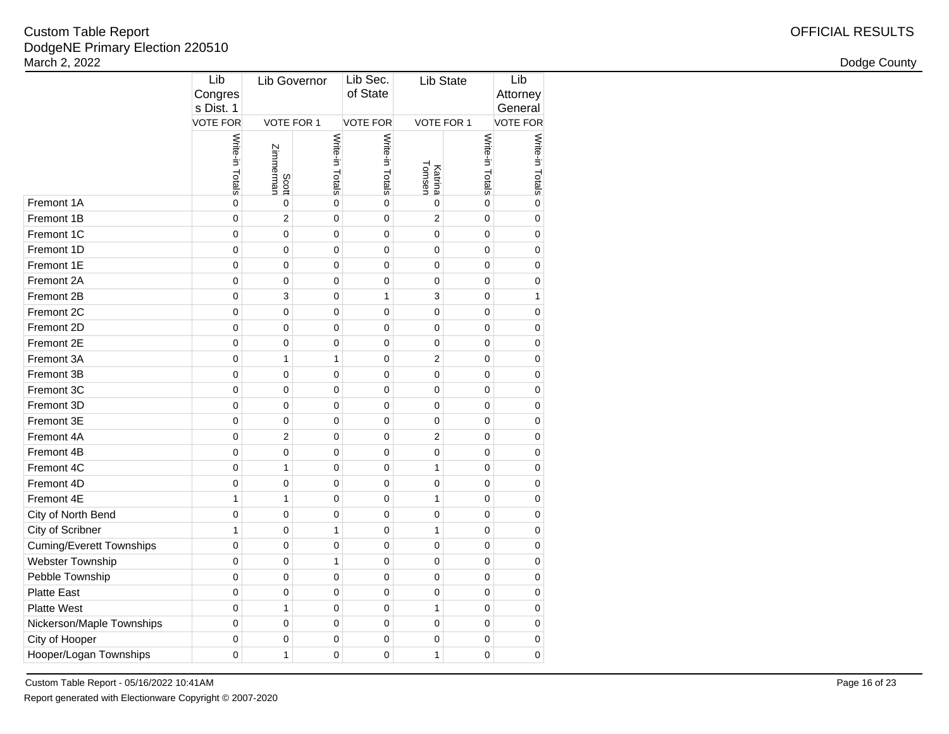| March 2, 2022                   |                             |                    |                 |                    |                   |                      |                 | Dodge County                            |  |  |
|---------------------------------|-----------------------------|--------------------|-----------------|--------------------|-------------------|----------------------|-----------------|-----------------------------------------|--|--|
|                                 | Lib<br>Congres<br>s Dist. 1 | Lib Governor       |                 |                    |                   | Lib Sec.<br>of State |                 | Lib<br>Lib State<br>Attorney<br>General |  |  |
|                                 | <b>VOTE FOR</b>             | VOTE FOR 1         |                 | <b>VOTE FOR</b>    | VOTE FOR 1        |                      | <b>VOTE FOR</b> |                                         |  |  |
|                                 | Write-in Totals             | Scott<br>Zimmerman | Write-in Totals | Write-in<br>Totals | Katrina<br>Tomsen | Write-in<br>Totals   | Write-in Totals |                                         |  |  |
| Fremont 1A                      | $\mathbf 0$                 | $\mathbf 0$        | $\mathbf 0$     | $\mathbf 0$        | $\pmb{0}$         | $\mathbf 0$          | 0               |                                         |  |  |
| Fremont 1B                      | $\mathbf 0$                 | $\overline{2}$     | $\pmb{0}$       | $\mathbf 0$        | $\sqrt{2}$        | $\mathbf 0$          | 0               |                                         |  |  |
| Fremont 1C                      | $\pmb{0}$                   | $\mathbf 0$        | $\pmb{0}$       | $\pmb{0}$          | $\mathbf 0$       | $\pmb{0}$            | 0               |                                         |  |  |
| Fremont 1D                      | $\pmb{0}$                   | $\mathbf 0$        | $\mathbf 0$     | $\pmb{0}$          | $\mathbf 0$       | $\pmb{0}$            | 0               |                                         |  |  |
| Fremont 1E                      | $\pmb{0}$                   | $\pmb{0}$          | $\mathbf 0$     | $\pmb{0}$          | $\pmb{0}$         | $\mathbf{0}$         | 0               |                                         |  |  |
| Fremont 2A                      | $\mathbf 0$                 | $\mathbf 0$        | $\pmb{0}$       | $\mathbf 0$        | $\pmb{0}$         | $\mathbf{0}$         | 0               |                                         |  |  |
| Fremont 2B                      | $\mathbf 0$                 | 3                  | $\mathbf 0$     | $\mathbf{1}$       | 3                 | $\mathbf 0$          | $\mathbf{1}$    |                                         |  |  |
| Fremont 2C                      | $\mathbf 0$                 | $\mathbf 0$        | $\mathbf 0$     | $\mathbf 0$        | $\mathbf 0$       | $\mathbf 0$          | 0               |                                         |  |  |
| Fremont 2D                      | $\mathbf 0$                 | $\mathbf 0$        | $\mathbf 0$     | $\mathbf 0$        | $\mathbf 0$       | $\mathbf 0$          | 0               |                                         |  |  |
| Fremont 2E                      | $\pmb{0}$                   | $\pmb{0}$          | $\mathbf 0$     | $\pmb{0}$          | $\pmb{0}$         | $\mathbf 0$          | 0               |                                         |  |  |
| Fremont 3A                      | $\pmb{0}$                   | $\mathbf{1}$       | $\mathbf{1}$    | $\pmb{0}$          | $\sqrt{2}$        | $\mathbf 0$          | 0               |                                         |  |  |
| Fremont 3B                      | $\pmb{0}$                   | $\mathbf 0$        | $\pmb{0}$       | $\mathbf 0$        | $\pmb{0}$         | $\mathbf 0$          | 0               |                                         |  |  |
| Fremont 3C                      | $\mathbf 0$                 | $\mathbf 0$        | $\pmb{0}$       | $\mathbf 0$        | $\mathbf 0$       | $\pmb{0}$            | 0               |                                         |  |  |
| Fremont 3D                      | $\pmb{0}$                   | $\mathbf 0$        | $\pmb{0}$       | $\pmb{0}$          | $\pmb{0}$         | $\mathbf 0$          | 0               |                                         |  |  |
| Fremont 3E                      | $\pmb{0}$                   | $\mathbf 0$        | $\pmb{0}$       | $\pmb{0}$          | $\pmb{0}$         | $\mathbf 0$          | 0               |                                         |  |  |
| Fremont 4A                      | $\pmb{0}$                   | $\overline{2}$     | $\mathbf 0$     | $\pmb{0}$          | $\sqrt{2}$        | $\mathbf 0$          | 0               |                                         |  |  |
| Fremont 4B                      | $\pmb{0}$                   | $\mathbf 0$        | $\pmb{0}$       | $\pmb{0}$          | $\pmb{0}$         | $\mathbf{0}$         | 0               |                                         |  |  |
| Fremont 4C                      | $\pmb{0}$                   | $\mathbf{1}$       | $\pmb{0}$       | $\pmb{0}$          | $\mathbf{1}$      | $\mathbf 0$          | 0               |                                         |  |  |
| Fremont 4D                      | $\pmb{0}$                   | $\mathbf 0$        | $\pmb{0}$       | $\mathbf 0$        | $\mathbf 0$       | $\mathbf 0$          | 0               |                                         |  |  |
| Fremont 4E                      | $\mathbf{1}$                | $\mathbf{1}$       | $\mathbf 0$     | $\pmb{0}$          | $\mathbf{1}$      | $\mathbf 0$          | 0               |                                         |  |  |
| City of North Bend              | $\mathbf 0$                 | $\mathbf 0$        | $\pmb{0}$       | $\pmb{0}$          | $\pmb{0}$         | $\mathbf 0$          | 0               |                                         |  |  |
| City of Scribner                | $\mathbf{1}$                | $\pmb{0}$          | $\mathbf{1}$    | $\pmb{0}$          | $\mathbf{1}$      | $\mathbf 0$          | 0               |                                         |  |  |
| <b>Cuming/Everett Townships</b> | $\pmb{0}$                   | $\pmb{0}$          | $\pmb{0}$       | $\pmb{0}$          | $\pmb{0}$         | $\mathbf 0$          | 0               |                                         |  |  |
| Webster Township                | $\pmb{0}$                   | $\mathbf 0$        | $\mathbf{1}$    | $\pmb{0}$          | $\pmb{0}$         | $\pmb{0}$            | 0               |                                         |  |  |
| Pebble Township                 | $\mathbf 0$                 | $\mathbf 0$        | $\pmb{0}$       | $\mathbf 0$        | $\pmb{0}$         | $\mathbf 0$          | 0               |                                         |  |  |
| <b>Platte East</b>              | $\pmb{0}$                   | $\mathbf 0$        | $\pmb{0}$       | $\mathbf 0$        | $\pmb{0}$         | $\mathbf 0$          | 0               |                                         |  |  |
| <b>Platte West</b>              | $\pmb{0}$                   | $\mathbf{1}$       | $\pmb{0}$       | $\pmb{0}$          | $\mathbf{1}$      | $\mathbf 0$          | 0               |                                         |  |  |
| Nickerson/Maple Townships       | $\pmb{0}$                   | $\mathbf 0$        | $\mathbf 0$     | $\pmb{0}$          | $\mathbf 0$       | 0                    | 0               |                                         |  |  |
| City of Hooper                  | $\mathbf 0$                 | $\mathbf 0$        | $\mathbf 0$     | $\mathbf 0$        | $\mathbf 0$       | $\mathbf 0$          | 0               |                                         |  |  |
| Hooper/Logan Townships          | $\mathbf 0$                 | $\mathbf{1}$       | $\mathsf 0$     | $\mathbf{0}$       | $\mathbf{1}$      | $\mathbf 0$          | 0               |                                         |  |  |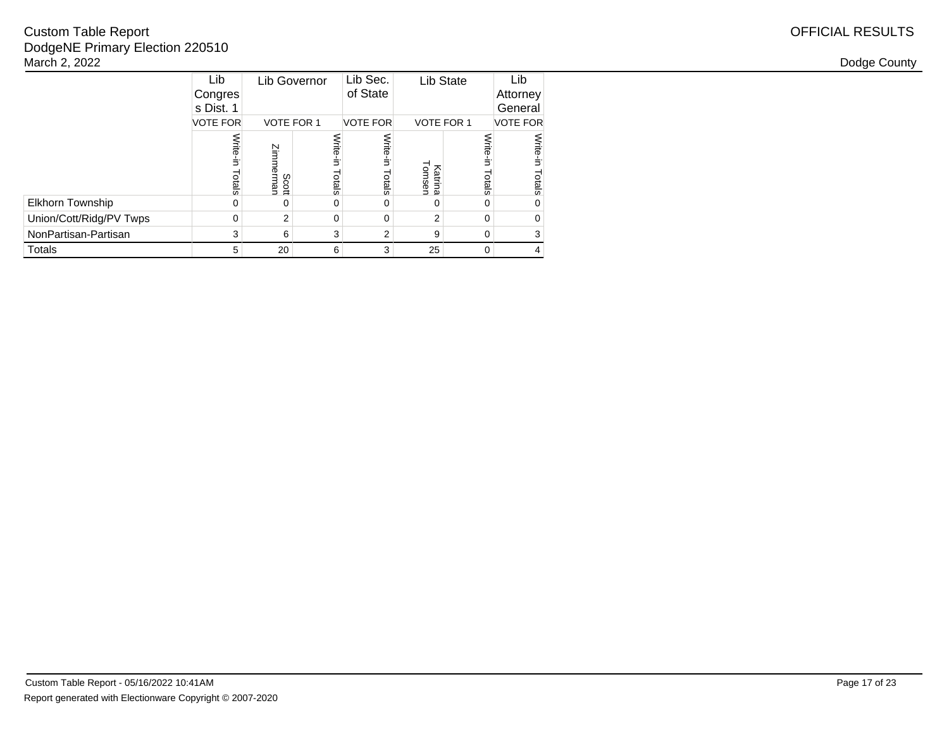# OFFICIAL RESULTS

|                         | Lib<br>Congres<br>s Dist. 1 | Lib Governor       |                    |                    |                   | Lib State              | Lib<br>Attorney<br>General |
|-------------------------|-----------------------------|--------------------|--------------------|--------------------|-------------------|------------------------|----------------------------|
|                         | <b>VOTE FOR</b>             | <b>VOTE FOR 1</b>  |                    | <b>VOTE FOR</b>    |                   | <b>VOTE FOR 1</b>      | <b>VOTE FOR</b>            |
|                         | Write-in<br>Totals          | Zimmermar<br>Scott | Write-in<br>Totals | Write-in<br>Totals | Iomsen<br>Katrina | <b>Write</b><br>Totals | Write-in<br>Totals         |
| Elkhorn Township        | 0                           | O                  | 0                  | 0                  | 0                 | ∩                      | 0                          |
| Union/Cott/Ridg/PV Twps | 0                           | 2                  | 0                  | $\Omega$           | $\overline{2}$    | $\Omega$               | 0                          |
| NonPartisan-Partisan    | 3                           | 6                  | 3                  | $\overline{2}$     | 9                 | $\Omega$               | 3                          |
| <b>Totals</b>           | 5                           | 20                 | 6                  | 3                  | 25                | $\Omega$               | 4                          |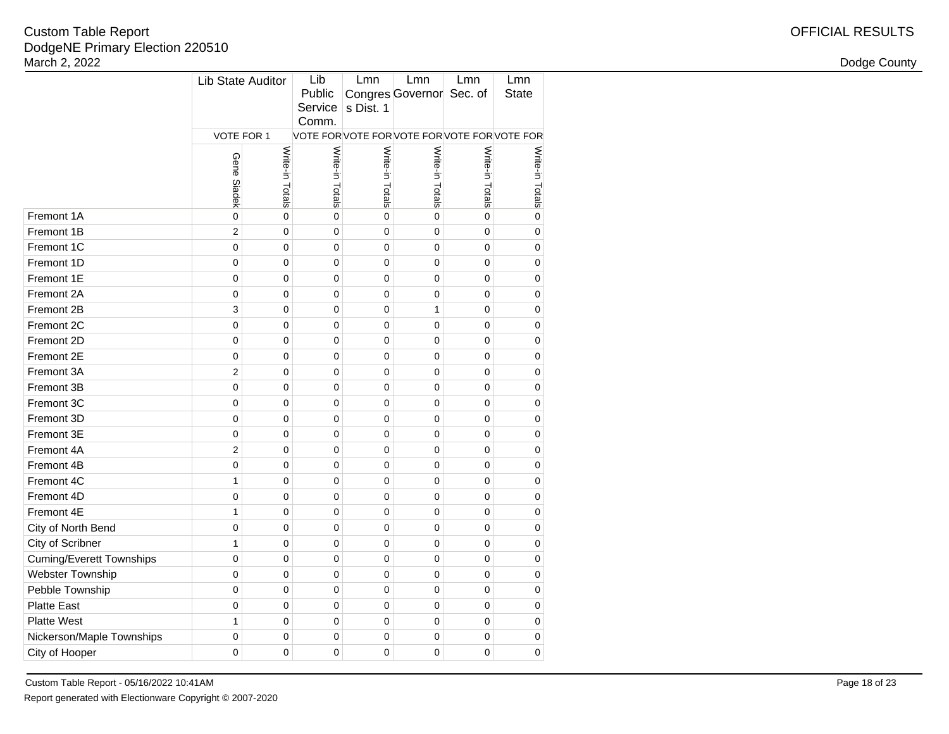| le Report                   |                       |                |                        |                            |                                              |                |                     | <b>OFFICIAL RESULTS</b> |
|-----------------------------|-----------------------|----------------|------------------------|----------------------------|----------------------------------------------|----------------|---------------------|-------------------------|
| rimary Election 220510<br>2 |                       |                |                        |                            |                                              |                |                     | Dodge County            |
|                             | Lib State Auditor     |                | Lib<br>Public<br>Comm. | Lmn<br>Service   s Dist. 1 | Lmn<br>Congres Governor Sec. of              | Lmn            | Lmn<br><b>State</b> |                         |
|                             | VOTE FOR 1            |                |                        |                            | VOTE FOR VOTE FOR VOTE FOR VOTE FOR VOTE FOR |                |                     |                         |
|                             | Gene<br><b>Siadek</b> | Write<br>otals | Write-in<br>Totals     | Write-in Totals            | Write-<br>Ė<br>Totals                        | Write<br>otals | Write-in<br>Totals  |                         |
|                             | $\Omega$              |                | 0                      | 0                          | 0                                            | $\Omega$       | $\Omega$            |                         |
|                             | 2                     | $\Omega$       | 0                      | 0                          | 0                                            | $\Omega$       | 0                   |                         |
|                             | 0                     |                | 0                      | 0                          | 0                                            | 0              |                     |                         |
|                             | $\Omega$              | $\Omega$       | 0                      | 0                          | 0                                            | ∩              | 0                   |                         |
|                             | 0                     | 0              | 0                      | 0                          | 0                                            | 0              | 0                   |                         |
|                             | 0                     | $\Omega$       | 0                      | 0                          | 0                                            | 0              | $\Omega$            |                         |
|                             | 3                     | $\Omega$       | 0                      | 0                          |                                              | 0              | 0                   |                         |
|                             |                       |                |                        |                            |                                              |                |                     |                         |

|                                 |                | Write-in Totals |                 |                 | Write-in Totals | Write-in Totals |                 |
|---------------------------------|----------------|-----------------|-----------------|-----------------|-----------------|-----------------|-----------------|
|                                 |                |                 |                 |                 |                 |                 |                 |
|                                 | Gene Siadek    |                 | Write-in Totals | Write-in Totals |                 |                 | Write-In Lotals |
| Fremont 1A                      | $\mathbf 0$    | 0               | 0               | $\mathbf 0$     | $\overline{0}$  | 0               | $\mathbf 0$     |
| Fremont 1B                      | $\overline{c}$ | 0               | $\mathbf 0$     | $\mathbf 0$     | $\mathbf 0$     | 0               | 0               |
| Fremont 1C                      | $\mathbf 0$    | 0               | 0               | $\mathbf 0$     | 0               | 0               | $\overline{0}$  |
| Fremont 1D                      | $\mathbf 0$    | 0               | 0               | $\mathbf 0$     | 0               | 0               | 0               |
| Fremont 1E                      | $\overline{0}$ | 0               | $\overline{0}$  | $\mathbf 0$     | $\overline{0}$  | $\overline{0}$  | $\overline{0}$  |
| Fremont 2A                      | $\mathbf 0$    | 0               | 0               | $\mathbf 0$     | $\mathbf 0$     | 0               | $\overline{0}$  |
| Fremont 2B                      | 3              | 0               | 0               | $\mathbf 0$     | 1               | 0               | 0               |
| Fremont 2C                      | $\mathbf 0$    | 0               | 0               | $\mathbf 0$     | $\Omega$        | 0               | 0               |
| Fremont 2D                      | $\mathbf 0$    | $\Omega$        | 0               | $\mathbf 0$     | $\Omega$        | $\Omega$        | 0               |
| Fremont 2E                      | $\mathbf 0$    | 0               | 0               | $\mathbf 0$     | 0               | 0               | 0               |
| Fremont 3A                      | $\overline{c}$ | 0               | 0               | $\mathbf 0$     | 0               | 0               | $\mathbf 0$     |
| Fremont 3B                      | $\mathbf 0$    | 0               | 0               | $\mathbf 0$     | $\mathbf 0$     | 0               | 0               |
| Fremont 3C                      | $\mathbf 0$    | 0               | 0               | $\mathbf 0$     | 0               | 0               | $\overline{0}$  |
| Fremont 3D                      | $\mathbf 0$    | 0               | 0               | $\mathbf 0$     | 0               | 0               | 0               |
| Fremont 3E                      | $\mathbf 0$    | $\mathbf 0$     | $\overline{0}$  | $\mathbf 0$     | $\overline{0}$  | $\overline{0}$  | $\overline{0}$  |
| Fremont 4A                      | $\overline{2}$ | 0               | $\mathbf 0$     | $\mathbf 0$     | $\mathbf 0$     | 0               | $\overline{0}$  |
| Fremont 4B                      | $\mathbf 0$    | 0               | 0               | $\mathbf 0$     | $\Omega$        | 0               | 0               |
| Fremont 4C                      | 1              | 0               | 0               | $\mathbf 0$     | $\Omega$        | 0               | 0               |
| Fremont 4D                      | $\mathbf 0$    | $\Omega$        | 0               | $\mathbf 0$     | $\Omega$        | $\Omega$        | 0               |
| Fremont 4E                      | 1              | 0               | 0               | $\mathbf 0$     | $\overline{0}$  | 0               | 0               |
| City of North Bend              | $\mathbf 0$    | 0               | $\overline{0}$  | $\mathbf 0$     | 0               | $\Omega$        | $\mathbf 0$     |
| City of Scribner                | $\mathbf{1}$   | 0               | 0               | $\mathbf 0$     | 0               | 0               | 0               |
| <b>Cuming/Everett Townships</b> | $\mathbf 0$    | 0               | 0               | $\mathbf 0$     | $\Omega$        | $\Omega$        | 0               |
| <b>Webster Township</b>         | $\mathbf 0$    | 0               | 0               | $\mathbf 0$     | 0               | 0               | 0               |
| Pebble Township                 | $\mathbf 0$    | $\mathbf 0$     | $\overline{0}$  | $\mathbf 0$     | $\overline{0}$  | $\overline{0}$  | $\overline{0}$  |
| <b>Platte East</b>              | $\mathbf 0$    | 0               | $\mathbf 0$     | $\mathbf 0$     | $\mathbf 0$     | 0               | 0               |
| <b>Platte West</b>              | $\mathbf{1}$   | 0               | 0               | $\mathbf 0$     | 0               | 0               | 0               |
| Nickerson/Maple Townships       | $\mathbf 0$    | 0               | 0               | $\mathbf 0$     | 0               | 0               | 0               |
| City of Hooper                  | $\mathbf 0$    | 0               | 0               | $\mathbf 0$     | 0               | 0               | 0               |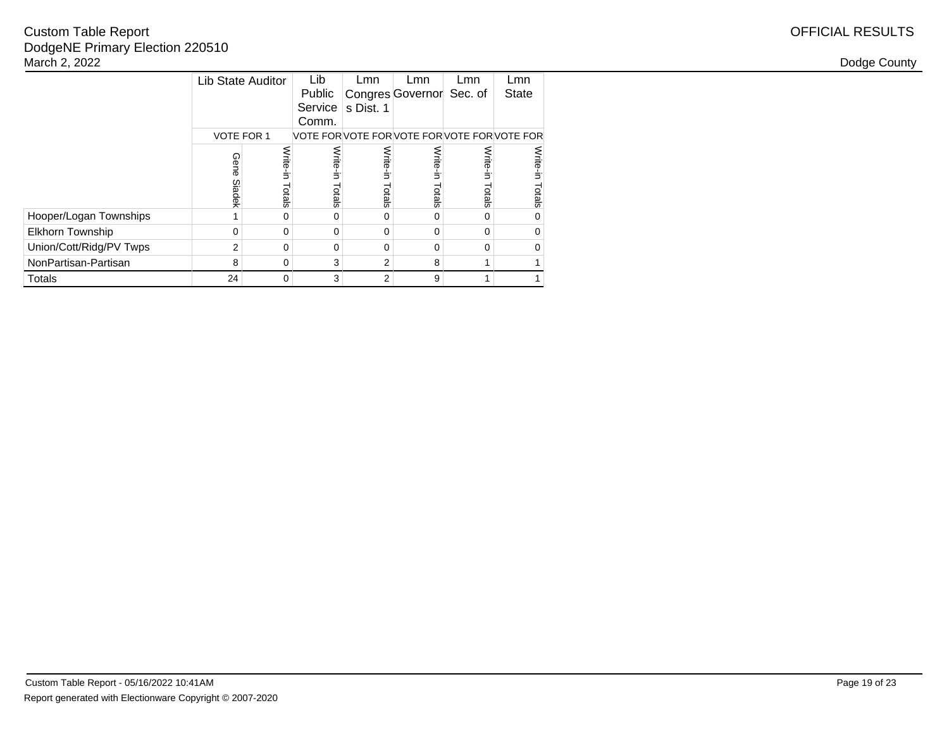# OFFICIAL RESULTS

|                         | Lib State Auditor |          | Lib      | Lmn       | Lmn                                      | Lmn      | Lmn          |
|-------------------------|-------------------|----------|----------|-----------|------------------------------------------|----------|--------------|
|                         |                   |          | Public   |           | Congres Governor Sec. of                 |          | <b>State</b> |
|                         |                   |          | Service  | s Dist. 1 |                                          |          |              |
|                         |                   |          | Comm.    |           |                                          |          |              |
|                         | <b>VOTE FOR 1</b> |          |          |           | VOTE FORVOTE FORVOTE FORVOTE FORVOTE FOR |          |              |
|                         | Gene              | Write-in | Write-i  | Write-in  | Write-in                                 | Write-in | Write-in     |
|                         |                   |          | Ė.       |           |                                          |          |              |
|                         | Siadek            | Totals   | Totals   | Totals    | Totals                                   | Totals   | Totals       |
| Hooper/Logan Townships  | 1                 | $\Omega$ | 0        | 0         | 0                                        | $\Omega$ | 0            |
| <b>Elkhorn Township</b> | $\Omega$          | 0        | $\Omega$ | 0         | o                                        | $\Omega$ | 0            |
| Union/Cott/Ridg/PV Twps | $\overline{2}$    | $\Omega$ | 0        | $\Omega$  | 0                                        | $\Omega$ | 0            |
| NonPartisan-Partisan    | 8                 | 0        | 3        | 2         | 8                                        | 1        |              |
| Totals                  | 24                | 0        | 3        | 2         | 9                                        | 1        |              |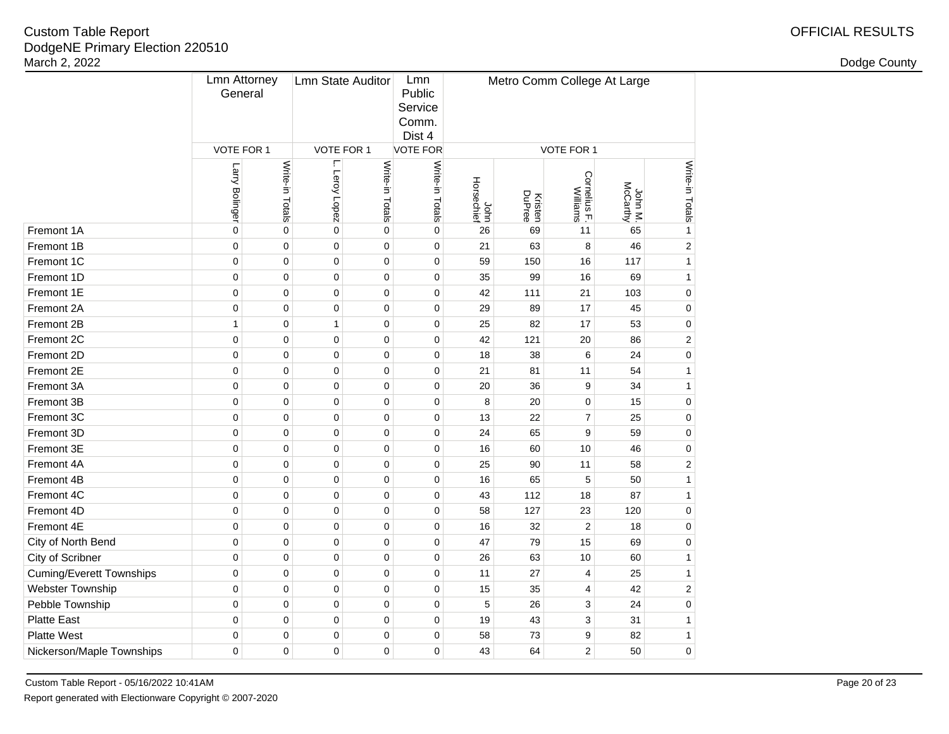|                                 | <b>Lmn Attorney</b><br>General |                 | <b>Lmn State Auditor</b> |                 | Lmn<br>Public<br>Service<br>Comm.<br>Dist 4 | Metro Comm College At Large |                   |                          |                     |                 |
|---------------------------------|--------------------------------|-----------------|--------------------------|-----------------|---------------------------------------------|-----------------------------|-------------------|--------------------------|---------------------|-----------------|
|                                 | VOTE FOR 1                     |                 | VOTE FOR 1               |                 | <b>VOTE FOR</b>                             |                             | VOTE FOR 1        |                          |                     |                 |
|                                 | Larry Bolinger                 | Write-in Totals | ŗ<br>Leroy Lopez         | Write-in Totals | Write-in Totals                             | John<br>Horsechief          | Kristen<br>DuPree | Cornelius F.<br>Williams | John M.<br>McCarthy | Write-in Totals |
| Fremont 1A                      | $\mathbf 0$                    | $\mathbf 0$     | $\mathbf 0$              | $\mathbf 0$     | $\mathbf 0$                                 | 26                          | 69                | 11                       | 65                  | $\mathbf{1}$    |
| Fremont 1B                      | $\mathbf 0$                    | $\mathbf 0$     | $\mathbf 0$              | $\mathbf 0$     | $\mathbf 0$                                 | 21                          | 63                | 8                        | 46                  | $\overline{2}$  |
| Fremont 1C                      | $\pmb{0}$                      | $\mathbf 0$     | $\pmb{0}$                | $\mathbf 0$     | $\pmb{0}$                                   | 59                          | 150               | 16                       | 117                 | $\mathbf{1}$    |
| Fremont 1D                      | $\pmb{0}$                      | $\mathbf 0$     | $\pmb{0}$                | $\mathbf 0$     | $\pmb{0}$                                   | 35                          | 99                | 16                       | 69                  | $\mathbf{1}$    |
| Fremont 1E                      | $\mathbf 0$                    | $\mathbf 0$     | $\mathbf 0$              | $\mathbf 0$     | $\pmb{0}$                                   | 42                          | 111               | 21                       | 103                 | $\mathbf 0$     |
| Fremont 2A                      | $\mathbf 0$                    | $\mathbf 0$     | $\mathbf 0$              | $\mathbf 0$     | $\mathbf 0$                                 | 29                          | 89                | 17                       | 45                  | $\mathbf 0$     |
| Fremont 2B                      | 1                              | $\mathbf 0$     | $\mathbf{1}$             | $\mathbf 0$     | $\mathbf 0$                                 | 25                          | 82                | 17                       | 53                  | $\mathbf 0$     |
| Fremont 2C                      | $\mathbf 0$                    | $\pmb{0}$       | $\mathbf 0$              | $\pmb{0}$       | $\pmb{0}$                                   | 42                          | 121               | 20                       | 86                  | $\overline{2}$  |
| Fremont 2D                      | $\mathbf 0$                    | 0               | $\mathbf 0$              | 0               | $\pmb{0}$                                   | 18                          | 38                | 6                        | 24                  | $\mathbf 0$     |
| Fremont 2E                      | $\mathbf 0$                    | 0               | $\mathbf 0$              | $\pmb{0}$       | $\pmb{0}$                                   | 21                          | 81                | 11                       | 54                  | $\mathbf{1}$    |
| Fremont 3A                      | $\mathbf 0$                    | 0               | $\pmb{0}$                | 0               | $\pmb{0}$                                   | 20                          | 36                | 9                        | 34                  | $\mathbf{1}$    |
| Fremont 3B                      | $\mathbf 0$                    | $\mathbf 0$     | 0                        | $\mathbf 0$     | $\mathbf 0$                                 | 8                           | 20                | $\mathbf 0$              | 15                  | $\mathbf 0$     |
| Fremont 3C                      | $\mathbf 0$                    | $\mathbf 0$     | 0                        | $\mathbf 0$     | $\mathbf 0$                                 | 13                          | 22                | $\overline{7}$           | 25                  | $\mathbf 0$     |
| Fremont 3D                      | $\mathbf 0$                    | $\mathbf 0$     | $\pmb{0}$                | $\mathbf 0$     | $\mathbf 0$                                 | 24                          | 65                | 9                        | 59                  | $\mathbf 0$     |
| Fremont 3E                      | $\mathbf 0$                    | $\mathbf 0$     | $\mathbf 0$              | $\mathbf 0$     | $\mathbf 0$                                 | 16                          | 60                | 10                       | 46                  | $\mathbf 0$     |
| Fremont 4A                      | $\mathbf 0$                    | $\mathbf 0$     | 0                        | 0               | 0                                           | 25                          | 90                | 11                       | 58                  | $\overline{2}$  |
| Fremont 4B                      | 0                              | $\mathbf 0$     | 0                        | $\mathbf 0$     | $\mathbf 0$                                 | 16                          | 65                | 5                        | 50                  | $\mathbf{1}$    |
| Fremont 4C                      | $\mathbf 0$                    | $\mathbf 0$     | 0                        | $\mathbf 0$     | $\mathbf 0$                                 | 43                          | 112               | 18                       | 87                  | $\mathbf{1}$    |
| Fremont 4D                      | 0                              | $\mathbf 0$     | 0                        | $\mathbf 0$     | $\mathbf 0$                                 | 58                          | 127               | 23                       | 120                 | $\mathbf 0$     |
| Fremont 4E                      | $\mathbf 0$                    | $\mathbf 0$     | $\mathbf 0$              | $\mathbf 0$     | $\mathbf 0$                                 | 16                          | 32                | $\overline{2}$           | 18                  | 0               |
| City of North Bend              | $\mathbf 0$                    | $\mathbf 0$     | $\mathbf 0$              | $\mathbf 0$     | $\mathbf 0$                                 | 47                          | 79                | 15                       | 69                  | $\mathbf 0$     |
| City of Scribner                | $\mathbf 0$                    | $\pmb{0}$       | $\pmb{0}$                | $\pmb{0}$       | $\mathbf 0$                                 | 26                          | 63                | 10                       | 60                  | $\mathbf{1}$    |
| <b>Cuming/Everett Townships</b> | $\mathbf 0$                    | $\pmb{0}$       | $\pmb{0}$                | $\mathbf 0$     | $\mathbf 0$                                 | 11                          | 27                | $\overline{4}$           | 25                  | $\mathbf{1}$    |
| Webster Township                | $\mathbf 0$                    | $\pmb{0}$       | $\mathbf 0$              | $\pmb{0}$       | $\pmb{0}$                                   | 15                          | 35                | $\overline{4}$           | 42                  | $\overline{2}$  |
| Pebble Township                 | $\mathbf 0$                    | $\pmb{0}$       | $\pmb{0}$                | $\pmb{0}$       | $\pmb{0}$                                   | 5                           | 26                | 3                        | 24                  | $\mathbf 0$     |
| <b>Platte East</b>              | $\mathbf 0$                    | $\pmb{0}$       | $\pmb{0}$                | $\pmb{0}$       | $\pmb{0}$                                   | 19                          | 43                | 3                        | 31                  | $\mathbf{1}$    |
| <b>Platte West</b>              | $\mathbf 0$                    | $\pmb{0}$       | $\pmb{0}$                | $\pmb{0}$       | $\mathbf 0$                                 | 58                          | 73                | 9                        | 82                  | $\mathbf{1}$    |
| Nickerson/Maple Townships       | 0                              | 0               | 0                        | 0               | 0                                           | 43                          | 64                | $\overline{2}$           | 50                  | $\mathbf 0$     |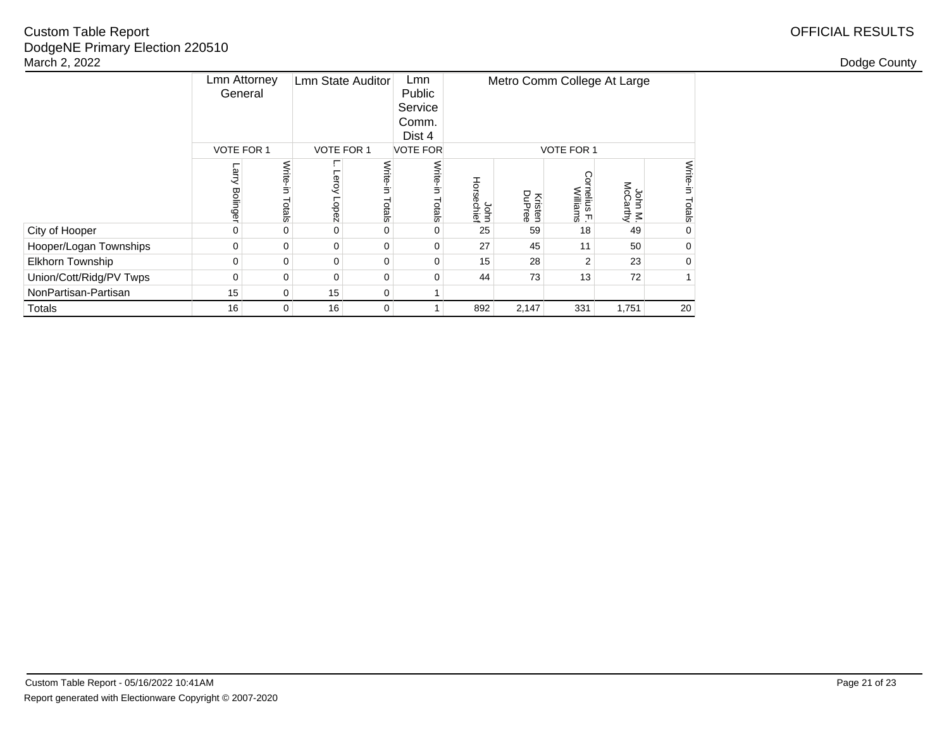|                         | <b>Lmn Attorney</b><br>General |                    | <b>Lmn State Auditor</b>   |                    | Lmn<br>Public<br>Service<br>Comm.<br>Dist 4 | Metro Comm College At Large |                          |                                 |                     |                    |
|-------------------------|--------------------------------|--------------------|----------------------------|--------------------|---------------------------------------------|-----------------------------|--------------------------|---------------------------------|---------------------|--------------------|
|                         | <b>VOTE FOR 1</b>              |                    | <b>VOTE FOR 1</b>          |                    | <b>VOTE FOR</b>                             |                             | <b>VOTE FOR 1</b>        |                                 |                     |                    |
|                         | Larry<br><b>Bolinger</b>       | Write-in<br>Totals | г<br>Leroy<br><b>Lopez</b> | Write-in<br>Totals | Write-in<br>Totals                          | Horsechief<br>John          | <b>Kristen</b><br>DuPree | <b>Cornelius F.</b><br>Williams | John M.<br>McCarthy | Write-in<br>Totals |
| City of Hooper          | $\Omega$                       | 0                  | $\mathbf 0$                | $\Omega$           | 0                                           | 25                          | 59                       | 18                              | 49                  | $\Omega$           |
| Hooper/Logan Townships  | 0                              | $\Omega$           | 0                          | 0                  | 0                                           | 27                          | 45                       | 11                              | 50                  | $\Omega$           |
| <b>Elkhorn Township</b> | $\Omega$                       | 0                  | $\mathbf 0$                | 0                  | 0                                           | 15                          | 28                       | 2                               | 23                  | 0                  |
| Union/Cott/Ridg/PV Twps | $\Omega$                       | $\mathbf 0$        | 0                          | 0                  | $\Omega$                                    | 44                          | 73                       | 13                              | 72                  |                    |
| NonPartisan-Partisan    | 15                             | $\Omega$           | 15                         | 0                  |                                             |                             |                          |                                 |                     |                    |
| Totals                  | 16                             | $\Omega$           | 16                         | 0                  |                                             | 892                         | 2,147                    | 331                             | 1,751               | 20                 |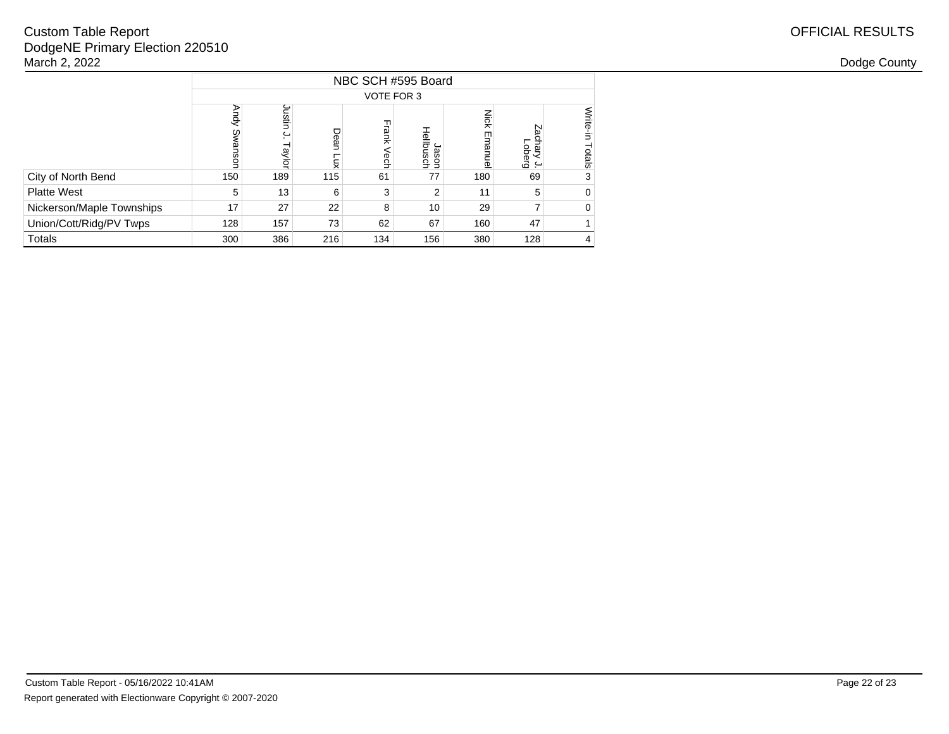|                           | NBC SCH #595 Board |                  |                    |              |                    |                        |                                |                    |  |  |  |  |
|---------------------------|--------------------|------------------|--------------------|--------------|--------------------|------------------------|--------------------------------|--------------------|--|--|--|--|
|                           | VOTE FOR 3         |                  |                    |              |                    |                        |                                |                    |  |  |  |  |
|                           | Andy<br>Swansor    | Justin<br>Taylor | Dean<br><b>Lux</b> | Frank<br>ech | Hellbusch<br>Jason | <b>Nick</b><br>Emanuel | ΡZ<br>chary<br>Duerg<br>$\sim$ | Write-in<br>Totals |  |  |  |  |
| City of North Bend        | 150                | 189              | 115                | 61           | 77                 | 180                    | 69                             | 3                  |  |  |  |  |
| <b>Platte West</b>        | 5                  | 13               | 6                  | 3            | 2                  | 11                     | 5                              | 0                  |  |  |  |  |
| Nickerson/Maple Townships | 17                 | 27               | 22                 | 8            | 10                 | 29                     |                                | $\Omega$           |  |  |  |  |
| Union/Cott/Ridg/PV Twps   | 128                | 157              | 73                 | 62           | 67                 | 160                    | 47                             |                    |  |  |  |  |
| Totals                    | 300                | 386              | 216                | 134          | 156                | 380                    | 128                            | 4                  |  |  |  |  |